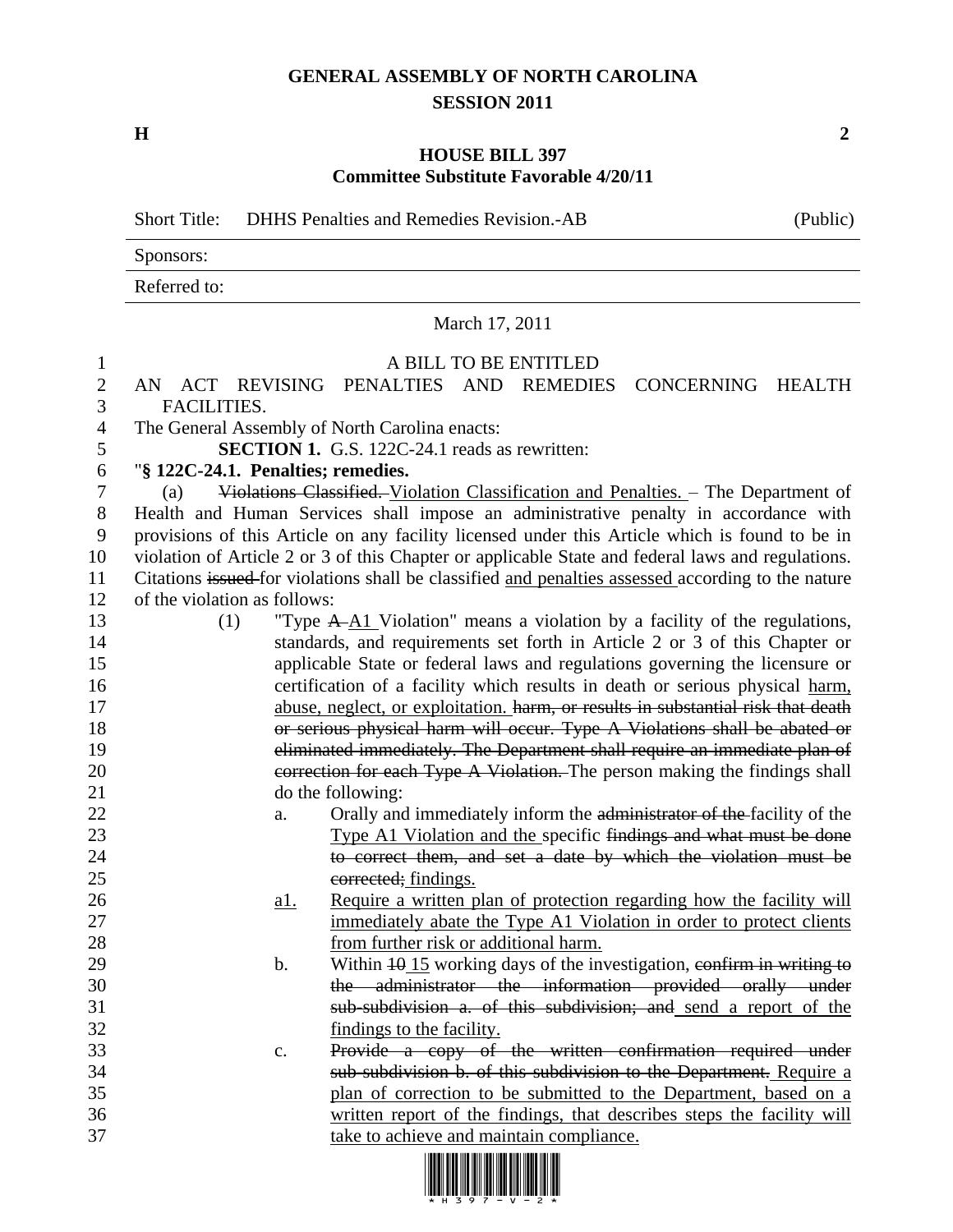## **GENERAL ASSEMBLY OF NORTH CAROLINA SESSION 2011**

**H 2**

## **HOUSE BILL 397 Committee Substitute Favorable 4/20/11**

Short Title: DHHS Penalties and Remedies Revision.-AB (Public) Sponsors: Referred to: March 17, 2011 A BILL TO BE ENTITLED AN ACT REVISING PENALTIES AND REMEDIES CONCERNING HEALTH FACILITIES. The General Assembly of North Carolina enacts: **SECTION 1.** G.S. 122C-24.1 reads as rewritten: "**§ 122C-24.1. Penalties; remedies.** (a) Violations Classified. Violation Classification and Penalties. – The Department of Health and Human Services shall impose an administrative penalty in accordance with provisions of this Article on any facility licensed under this Article which is found to be in violation of Article 2 or 3 of this Chapter or applicable State and federal laws and regulations. Citations issued for violations shall be classified and penalties assessed according to the nature of the violation as follows: 13 (1) "Type  $A \rightarrow A1$  Violation" means a violation by a facility of the regulations, standards, and requirements set forth in Article 2 or 3 of this Chapter or applicable State or federal laws and regulations governing the licensure or certification of a facility which results in death or serious physical harm, 17 abuse, neglect, or exploitation. harm, or results in substantial risk that death **18** or serious physical harm will occur. Type A Violations shall be abated or eliminated immediately. The Department shall require an immediate plan of 20 correction for each Type A Violation. The person making the findings shall do the following: 22 a. Orally and immediately inform the administrator of the facility of the 23 Type A1 Violation and the specific findings and what must be done to correct them, and set a date by which the violation must be 25 corrected; findings. **a1.** Require a written plan of protection regarding how the facility will immediately abate the Type A1 Violation in order to protect clients from further risk or additional harm. 29 b. Within  $\frac{10}{15}$  working days of the investigation, confirm in writing to the administrator the information provided orally under sub-subdivision a. of this subdivision; and send a report of the findings to the facility. c. Provide a copy of the written confirmation required under sub-subdivision b. of this subdivision to the Department. Require a plan of correction to be submitted to the Department, based on a written report of the findings, that describes steps the facility will take to achieve and maintain compliance.

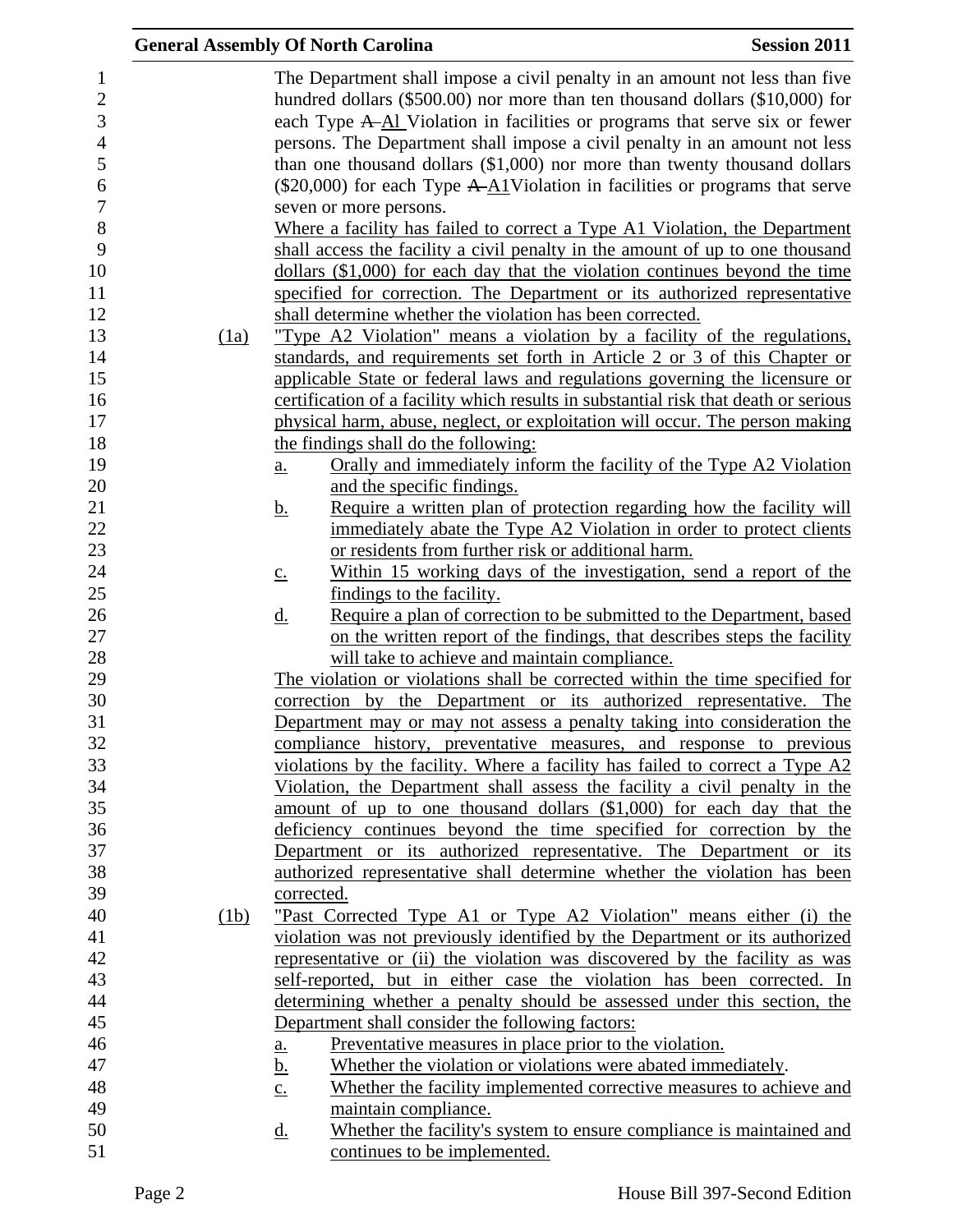|      | <b>General Assembly Of North Carolina</b>                                                                                                                                                                                                     | <b>Session 2011</b> |
|------|-----------------------------------------------------------------------------------------------------------------------------------------------------------------------------------------------------------------------------------------------|---------------------|
|      | The Department shall impose a civil penalty in an amount not less than five<br>hundred dollars $(\$500.00)$ nor more than ten thousand dollars $(\$10,000)$ for<br>each Type A-Al Violation in facilities or programs that serve six or fewer |                     |
|      | persons. The Department shall impose a civil penalty in an amount not less<br>than one thousand dollars $(\$1,000)$ nor more than twenty thousand dollars                                                                                     |                     |
|      | $(\$20,000)$ for each Type A-A1Violation in facilities or programs that serve                                                                                                                                                                 |                     |
|      | seven or more persons.                                                                                                                                                                                                                        |                     |
|      | Where a facility has failed to correct a Type A1 Violation, the Department<br>shall access the facility a civil penalty in the amount of up to one thousand                                                                                   |                     |
|      | dollars (\$1,000) for each day that the violation continues beyond the time                                                                                                                                                                   |                     |
|      | specified for correction. The Department or its authorized representative                                                                                                                                                                     |                     |
|      | shall determine whether the violation has been corrected.                                                                                                                                                                                     |                     |
| (1a) | "Type A2 Violation" means a violation by a facility of the regulations,                                                                                                                                                                       |                     |
|      | standards, and requirements set forth in Article 2 or 3 of this Chapter or                                                                                                                                                                    |                     |
|      | applicable State or federal laws and regulations governing the licensure or                                                                                                                                                                   |                     |
|      | certification of a facility which results in substantial risk that death or serious                                                                                                                                                           |                     |
|      | physical harm, abuse, neglect, or exploitation will occur. The person making                                                                                                                                                                  |                     |
|      | the findings shall do the following:                                                                                                                                                                                                          |                     |
|      | Orally and immediately inform the facility of the Type A2 Violation<br>a.                                                                                                                                                                     |                     |
|      | and the specific findings.                                                                                                                                                                                                                    |                     |
|      | Require a written plan of protection regarding how the facility will<br><u>b.</u>                                                                                                                                                             |                     |
|      | immediately abate the Type A2 Violation in order to protect clients                                                                                                                                                                           |                     |
|      | or residents from further risk or additional harm.                                                                                                                                                                                            |                     |
|      | Within 15 working days of the investigation, send a report of the<br>$\underline{C}$ .                                                                                                                                                        |                     |
|      | findings to the facility.<br>Require a plan of correction to be submitted to the Department, based<br><u>d.</u>                                                                                                                               |                     |
|      | on the written report of the findings, that describes steps the facility                                                                                                                                                                      |                     |
|      | will take to achieve and maintain compliance.                                                                                                                                                                                                 |                     |
|      | The violation or violations shall be corrected within the time specified for                                                                                                                                                                  |                     |
|      | correction by the Department or its authorized representative. The                                                                                                                                                                            |                     |
|      | Department may or may not assess a penalty taking into consideration the                                                                                                                                                                      |                     |
|      | compliance history, preventative measures, and response to previous                                                                                                                                                                           |                     |
|      | violations by the facility. Where a facility has failed to correct a Type A2                                                                                                                                                                  |                     |
|      | Violation, the Department shall assess the facility a civil penalty in the                                                                                                                                                                    |                     |
|      | amount of up to one thousand dollars (\$1,000) for each day that the                                                                                                                                                                          |                     |
|      | deficiency continues beyond the time specified for correction by the                                                                                                                                                                          |                     |
|      | Department or its authorized representative. The Department or its                                                                                                                                                                            |                     |
|      | authorized representative shall determine whether the violation has been                                                                                                                                                                      |                     |
|      | corrected.                                                                                                                                                                                                                                    |                     |
| (1b) | "Past Corrected Type A1 or Type A2 Violation" means either (i) the                                                                                                                                                                            |                     |
|      | violation was not previously identified by the Department or its authorized                                                                                                                                                                   |                     |
|      | representative or (ii) the violation was discovered by the facility as was<br>self-reported, but in either case the violation has been corrected. In                                                                                          |                     |
|      | determining whether a penalty should be assessed under this section, the                                                                                                                                                                      |                     |
|      | Department shall consider the following factors:                                                                                                                                                                                              |                     |
|      | Preventative measures in place prior to the violation.                                                                                                                                                                                        |                     |
|      | <u>a.</u><br>Whether the violation or violations were abated immediately.<br><u>b.</u>                                                                                                                                                        |                     |
|      | Whether the facility implemented corrective measures to achieve and<br>$\underline{c}$ .                                                                                                                                                      |                     |
|      | maintain compliance.                                                                                                                                                                                                                          |                     |
|      | Whether the facility's system to ensure compliance is maintained and<br><u>d.</u>                                                                                                                                                             |                     |
|      | continues to be implemented.                                                                                                                                                                                                                  |                     |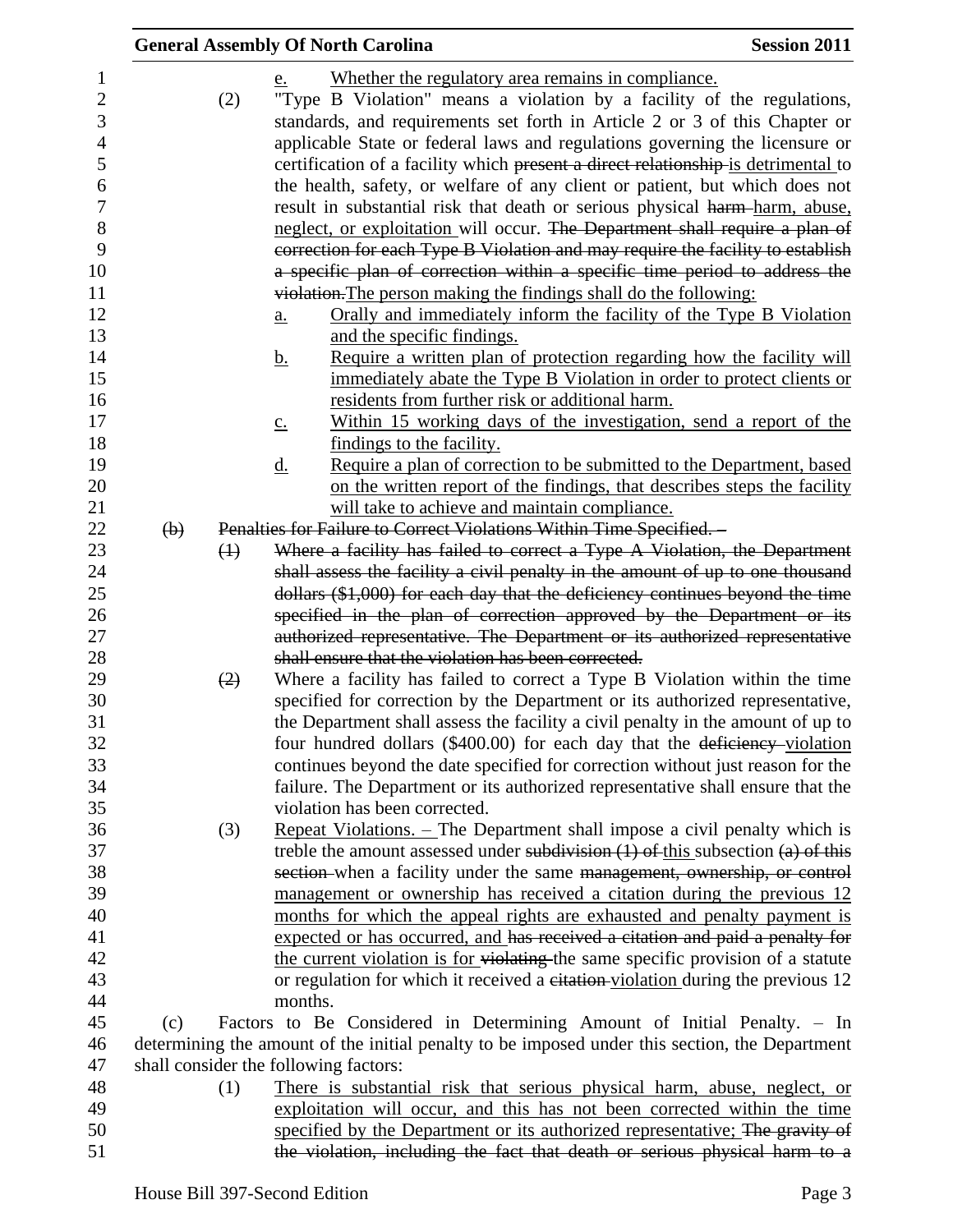|                                                                                 |                           |                   | <b>General Assembly Of North Carolina</b>                                                                                                                                                                                                                                                                                                                                                                                                                                                                                                          | <b>Session 2011</b> |
|---------------------------------------------------------------------------------|---------------------------|-------------------|----------------------------------------------------------------------------------------------------------------------------------------------------------------------------------------------------------------------------------------------------------------------------------------------------------------------------------------------------------------------------------------------------------------------------------------------------------------------------------------------------------------------------------------------------|---------------------|
| $\mathbf{1}$<br>$\mathbf{2}$<br>3<br>$\overline{4}$<br>5<br>6<br>$\overline{7}$ |                           | (2)               | Whether the regulatory area remains in compliance.<br>e.<br>"Type B Violation" means a violation by a facility of the regulations,<br>standards, and requirements set forth in Article 2 or 3 of this Chapter or<br>applicable State or federal laws and regulations governing the licensure or<br>certification of a facility which present a direct relationship is detrimental to<br>the health, safety, or welfare of any client or patient, but which does not<br>result in substantial risk that death or serious physical harm-harm, abuse, |                     |
| 8<br>9<br>10                                                                    |                           |                   | neglect, or exploitation will occur. The Department shall require a plan of<br>correction for each Type B Violation and may require the facility to establish<br>a specific plan of correction within a specific time period to address the                                                                                                                                                                                                                                                                                                        |                     |
| 11<br>12<br>13<br>14                                                            |                           |                   | violation. The person making the findings shall do the following:<br>Orally and immediately inform the facility of the Type B Violation<br>a.<br>and the specific findings.<br>Require a written plan of protection regarding how the facility will                                                                                                                                                                                                                                                                                                |                     |
| 15<br>16<br>17                                                                  |                           |                   | <u>b.</u><br>immediately abate the Type B Violation in order to protect clients or<br>residents from further risk or additional harm.<br>Within 15 working days of the investigation, send a report of the                                                                                                                                                                                                                                                                                                                                         |                     |
| 18<br>19<br>20                                                                  |                           |                   | $\underline{c}$ .<br>findings to the facility.<br>Require a plan of correction to be submitted to the Department, based<br><u>d.</u><br>on the written report of the findings, that describes steps the facility                                                                                                                                                                                                                                                                                                                                   |                     |
| 21<br>22<br>23                                                                  | $\left(\mathbf{b}\right)$ | $\leftrightarrow$ | will take to achieve and maintain compliance.<br>Penalties for Failure to Correct Violations Within Time Specified. -<br>Where a facility has failed to correct a Type A Violation, the Department                                                                                                                                                                                                                                                                                                                                                 |                     |
| 24<br>25<br>26                                                                  |                           |                   | shall assess the facility a civil penalty in the amount of up to one thousand<br>dollars (\$1,000) for each day that the deficiency continues beyond the time<br>specified in the plan of correction approved by the Department or its                                                                                                                                                                                                                                                                                                             |                     |
| 27<br>28                                                                        |                           |                   | authorized representative. The Department or its authorized representative<br>shall ensure that the violation has been corrected.                                                                                                                                                                                                                                                                                                                                                                                                                  |                     |
| 29<br>30<br>31<br>32<br>33                                                      |                           | (2)               | Where a facility has failed to correct a Type B Violation within the time<br>specified for correction by the Department or its authorized representative,<br>the Department shall assess the facility a civil penalty in the amount of up to<br>four hundred dollars (\$400.00) for each day that the deficiency-violation<br>continues beyond the date specified for correction without just reason for the                                                                                                                                       |                     |
| 34<br>35<br>36                                                                  |                           | (3)               | failure. The Department or its authorized representative shall ensure that the<br>violation has been corrected.<br><u>Repeat Violations. – The Department shall impose a civil penalty which is</u>                                                                                                                                                                                                                                                                                                                                                |                     |
| 37<br>38<br>39                                                                  |                           |                   | treble the amount assessed under subdivision $(1)$ of this subsection $(a)$ of this<br>section-when a facility under the same management, ownership, or control<br>management or ownership has received a citation during the previous 12                                                                                                                                                                                                                                                                                                          |                     |
| 40<br>41<br>42                                                                  |                           |                   | months for which the appeal rights are exhausted and penalty payment is<br>expected or has occurred, and has received a citation and paid a penalty for<br>the current violation is for violating the same specific provision of a statute                                                                                                                                                                                                                                                                                                         |                     |
| 43<br>44                                                                        |                           |                   | or regulation for which it received a eitation-violation during the previous 12<br>months.                                                                                                                                                                                                                                                                                                                                                                                                                                                         |                     |
| 45<br>46<br>47                                                                  | (c)                       |                   | Factors to Be Considered in Determining Amount of Initial Penalty. – In<br>determining the amount of the initial penalty to be imposed under this section, the Department<br>shall consider the following factors:                                                                                                                                                                                                                                                                                                                                 |                     |
| 48<br>49<br>50                                                                  |                           | (1)               | There is substantial risk that serious physical harm, abuse, neglect, or<br>exploitation will occur, and this has not been corrected within the time<br>specified by the Department or its authorized representative; The gravity of                                                                                                                                                                                                                                                                                                               |                     |
| 51                                                                              |                           |                   | the violation, including the fact that death or serious physical harm to a                                                                                                                                                                                                                                                                                                                                                                                                                                                                         |                     |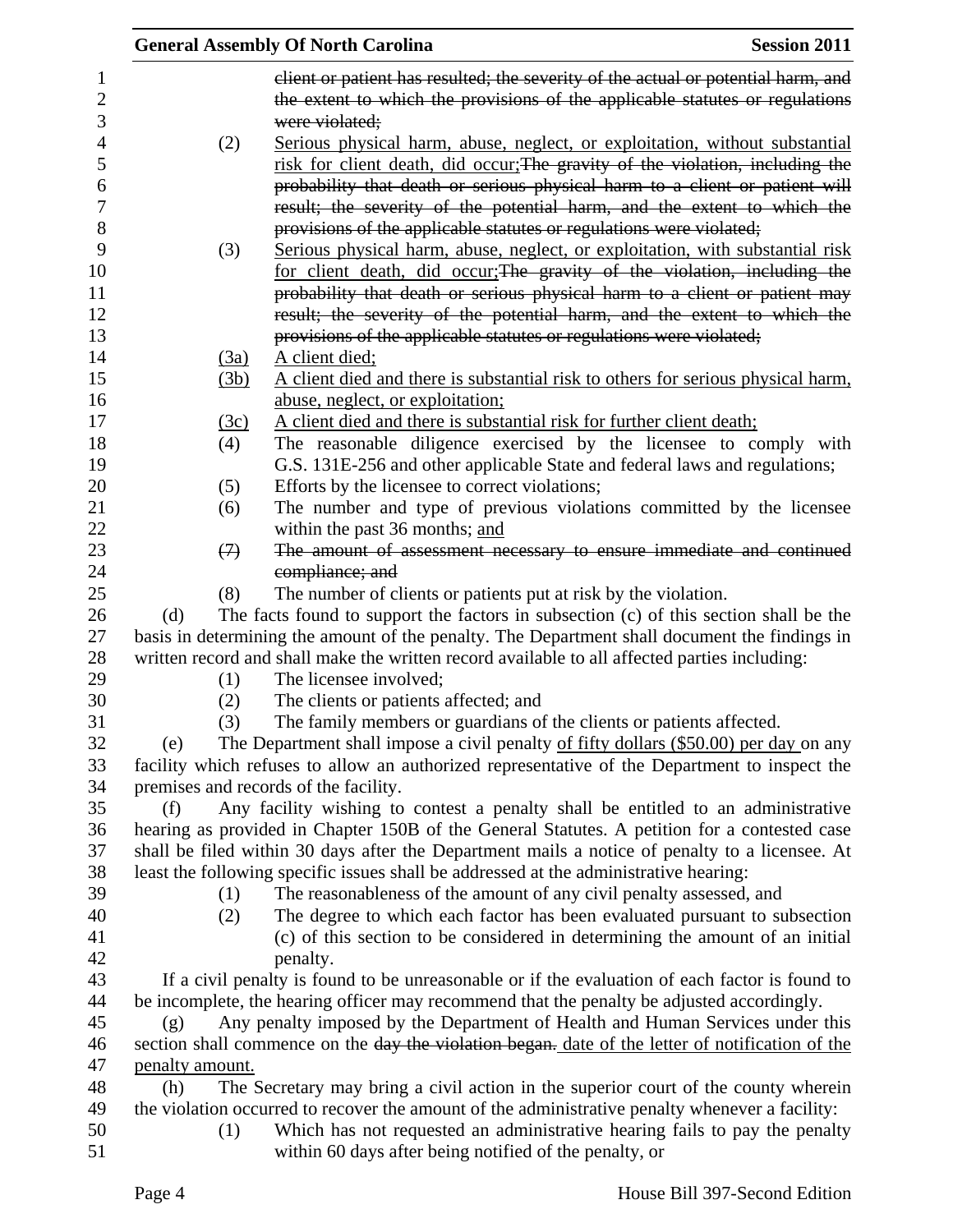|     |                   | <b>General Assembly Of North Carolina</b>                                                        | <b>Session 2011</b> |
|-----|-------------------|--------------------------------------------------------------------------------------------------|---------------------|
|     |                   | client or patient has resulted; the severity of the actual or potential harm, and                |                     |
|     |                   | the extent to which the provisions of the applicable statutes or regulations                     |                     |
|     |                   | were violated;                                                                                   |                     |
|     | (2)               | Serious physical harm, abuse, neglect, or exploitation, without substantial                      |                     |
|     |                   | risk for client death, did occur; The gravity of the violation, including the                    |                     |
|     |                   | probability that death or serious physical harm to a client or patient will                      |                     |
|     |                   | result; the severity of the potential harm, and the extent to which the                          |                     |
|     |                   | provisions of the applicable statutes or regulations were violated;                              |                     |
|     | (3)               | Serious physical harm, abuse, neglect, or exploitation, with substantial risk                    |                     |
|     |                   | for client death, did occur; The gravity of the violation, including the                         |                     |
|     |                   | probability that death or serious physical harm to a client or patient may                       |                     |
|     |                   | result; the severity of the potential harm, and the extent to which the                          |                     |
|     |                   | provisions of the applicable statutes or regulations were violated;                              |                     |
|     | (3a)              | A client died;                                                                                   |                     |
|     | (3b)              | A client died and there is substantial risk to others for serious physical harm,                 |                     |
|     |                   | abuse, neglect, or exploitation;                                                                 |                     |
|     | (3c)              | A client died and there is substantial risk for further client death;                            |                     |
|     | (4)               | The reasonable diligence exercised by the licensee to comply with                                |                     |
|     |                   | G.S. 131E-256 and other applicable State and federal laws and regulations;                       |                     |
|     | (5)               | Efforts by the licensee to correct violations;                                                   |                     |
|     | (6)               | The number and type of previous violations committed by the licensee                             |                     |
|     |                   | within the past 36 months; and                                                                   |                     |
|     | $\leftrightarrow$ | The amount of assessment necessary to ensure immediate and continued                             |                     |
|     | (8)               | compliance; and<br>The number of clients or patients put at risk by the violation.               |                     |
| (d) |                   | The facts found to support the factors in subsection (c) of this section shall be the            |                     |
|     |                   | basis in determining the amount of the penalty. The Department shall document the findings in    |                     |
|     |                   | written record and shall make the written record available to all affected parties including:    |                     |
|     | (1)               | The licensee involved;                                                                           |                     |
|     | (2)               | The clients or patients affected; and                                                            |                     |
|     | (3)               | The family members or guardians of the clients or patients affected.                             |                     |
| (e) |                   | The Department shall impose a civil penalty of fifty dollars (\$50.00) per day on any            |                     |
|     |                   | facility which refuses to allow an authorized representative of the Department to inspect the    |                     |
|     |                   | premises and records of the facility.                                                            |                     |
| (f) |                   | Any facility wishing to contest a penalty shall be entitled to an administrative                 |                     |
|     |                   | hearing as provided in Chapter 150B of the General Statutes. A petition for a contested case     |                     |
|     |                   | shall be filed within 30 days after the Department mails a notice of penalty to a licensee. At   |                     |
|     |                   | least the following specific issues shall be addressed at the administrative hearing:            |                     |
|     | (1)               | The reasonableness of the amount of any civil penalty assessed, and                              |                     |
|     | (2)               | The degree to which each factor has been evaluated pursuant to subsection                        |                     |
|     |                   | (c) of this section to be considered in determining the amount of an initial                     |                     |
|     |                   | penalty.                                                                                         |                     |
|     |                   | If a civil penalty is found to be unreasonable or if the evaluation of each factor is found to   |                     |
|     |                   | be incomplete, the hearing officer may recommend that the penalty be adjusted accordingly.       |                     |
| (g) |                   | Any penalty imposed by the Department of Health and Human Services under this                    |                     |
|     |                   | section shall commence on the day the violation began. date of the letter of notification of the |                     |
|     | penalty amount.   |                                                                                                  |                     |
| (h) |                   | The Secretary may bring a civil action in the superior court of the county wherein               |                     |
|     |                   | the violation occurred to recover the amount of the administrative penalty whenever a facility:  |                     |
|     | (1)               | Which has not requested an administrative hearing fails to pay the penalty                       |                     |
|     |                   | within 60 days after being notified of the penalty, or                                           |                     |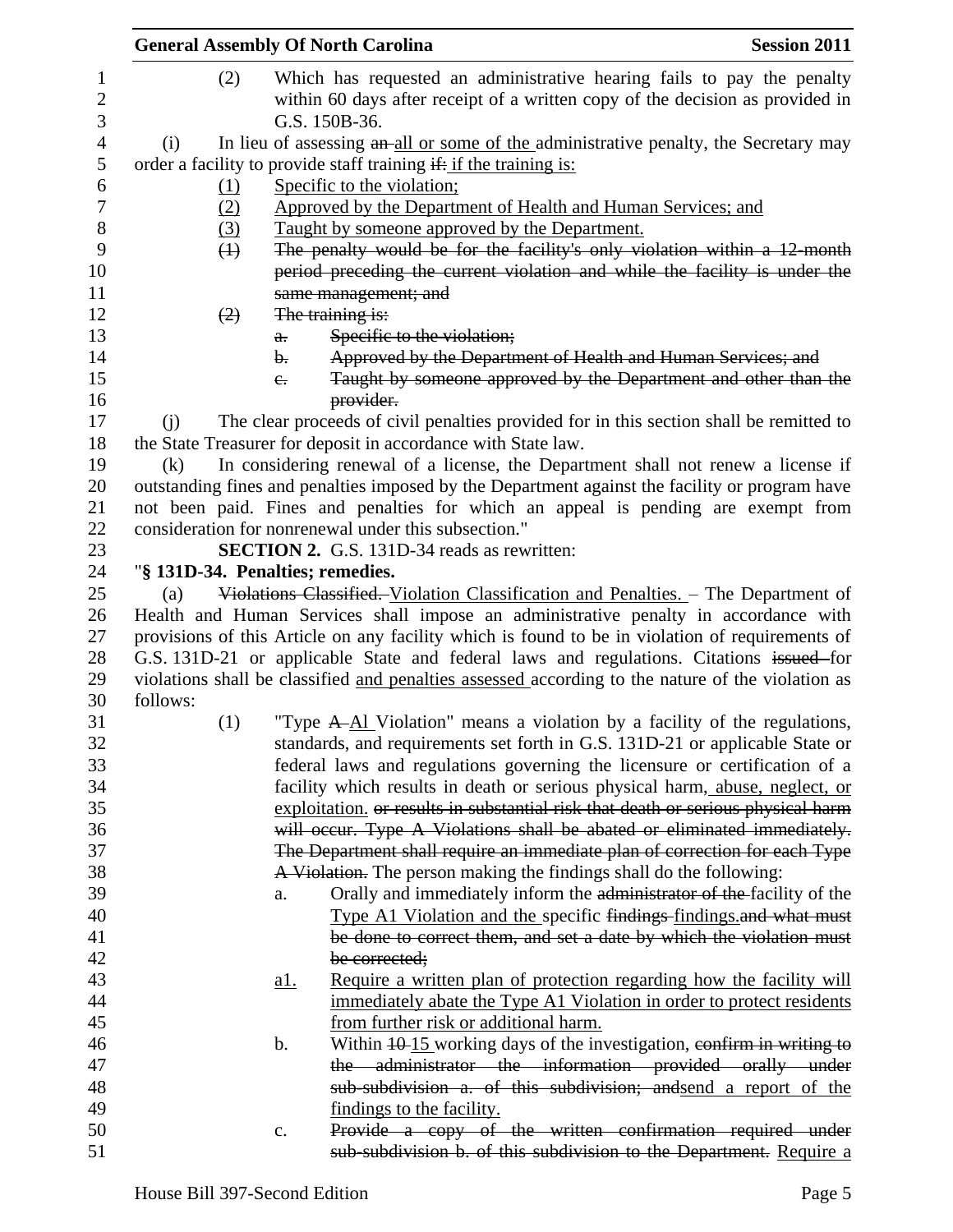|                        | <b>General Assembly Of North Carolina</b> |               |                                                                                                                                                                          | <b>Session 2011</b> |
|------------------------|-------------------------------------------|---------------|--------------------------------------------------------------------------------------------------------------------------------------------------------------------------|---------------------|
| 1<br>$\mathbf{2}$<br>3 | (2)                                       |               | Which has requested an administrative hearing fails to pay the penalty<br>within 60 days after receipt of a written copy of the decision as provided in<br>G.S. 150B-36. |                     |
| $\overline{4}$         | (i)                                       |               | In lieu of assessing an all or some of the administrative penalty, the Secretary may                                                                                     |                     |
| 5                      |                                           |               | order a facility to provide staff training if: if the training is:                                                                                                       |                     |
| 6                      | $\Omega$                                  |               | Specific to the violation;                                                                                                                                               |                     |
| $\boldsymbol{7}$       | (2)                                       |               | Approved by the Department of Health and Human Services; and                                                                                                             |                     |
| 8                      | $\left(3\right)$                          |               | Taught by someone approved by the Department.                                                                                                                            |                     |
| 9                      | $\leftrightarrow$                         |               | The penalty would be for the facility's only violation within a 12-month                                                                                                 |                     |
| 10                     |                                           |               | period preceding the current violation and while the facility is under the                                                                                               |                     |
| 11                     |                                           |               | same management; and                                                                                                                                                     |                     |
| 12                     | (2)                                       |               | The training is:                                                                                                                                                         |                     |
| 13                     |                                           | a.            | Specific to the violation;                                                                                                                                               |                     |
| 14                     |                                           | b.            | Approved by the Department of Health and Human Services; and                                                                                                             |                     |
| 15                     |                                           | $e_{i}$       | Taught by someone approved by the Department and other than the                                                                                                          |                     |
| 16                     |                                           |               | provider.                                                                                                                                                                |                     |
| 17                     | (i)                                       |               | The clear proceeds of civil penalties provided for in this section shall be remitted to                                                                                  |                     |
| 18                     |                                           |               | the State Treasurer for deposit in accordance with State law.                                                                                                            |                     |
| 19                     | (k)                                       |               | In considering renewal of a license, the Department shall not renew a license if                                                                                         |                     |
| 20                     |                                           |               | outstanding fines and penalties imposed by the Department against the facility or program have                                                                           |                     |
| 21                     |                                           |               | not been paid. Fines and penalties for which an appeal is pending are exempt from                                                                                        |                     |
| 22                     |                                           |               | consideration for nonrenewal under this subsection."                                                                                                                     |                     |
| 23                     |                                           |               | <b>SECTION 2.</b> G.S. 131D-34 reads as rewritten:                                                                                                                       |                     |
| 24                     | "§ 131D-34. Penalties; remedies.          |               |                                                                                                                                                                          |                     |
| 25                     | (a)                                       |               | Violations Classified. Violation Classification and Penalties. - The Department of                                                                                       |                     |
| 26                     |                                           |               | Health and Human Services shall impose an administrative penalty in accordance with                                                                                      |                     |
| 27                     |                                           |               | provisions of this Article on any facility which is found to be in violation of requirements of                                                                          |                     |
| 28                     |                                           |               | G.S. 131D-21 or applicable State and federal laws and regulations. Citations issued for                                                                                  |                     |
| 29                     |                                           |               | violations shall be classified and penalties assessed according to the nature of the violation as                                                                        |                     |
| 30                     | follows:                                  |               |                                                                                                                                                                          |                     |
| 31                     | (1)                                       |               | "Type A-Al Violation" means a violation by a facility of the regulations,                                                                                                |                     |
| 32                     |                                           |               | standards, and requirements set forth in G.S. 131D-21 or applicable State or                                                                                             |                     |
| 33                     |                                           |               | federal laws and regulations governing the licensure or certification of a                                                                                               |                     |
| 34                     |                                           |               | facility which results in death or serious physical harm, abuse, neglect, or                                                                                             |                     |
| 35                     |                                           |               | exploitation, or results in substantial risk that death or serious physical harm                                                                                         |                     |
| 36                     |                                           |               | will occur. Type A Violations shall be abated or eliminated immediately.                                                                                                 |                     |
| 37                     |                                           |               | The Department shall require an immediate plan of correction for each Type                                                                                               |                     |
| 38                     |                                           |               | A Violation. The person making the findings shall do the following:                                                                                                      |                     |
| 39                     |                                           | a.            | Orally and immediately inform the administrator of the facility of the                                                                                                   |                     |
| 40                     |                                           |               | Type A1 Violation and the specific findings-findings and what must                                                                                                       |                     |
| 41                     |                                           |               | be done to correct them, and set a date by which the violation must                                                                                                      |                     |
| 42                     |                                           |               | be corrected;                                                                                                                                                            |                     |
| 43                     |                                           | <u>al.</u>    | Require a written plan of protection regarding how the facility will                                                                                                     |                     |
| 44                     |                                           |               | immediately abate the Type A1 Violation in order to protect residents                                                                                                    |                     |
| 45                     |                                           |               | from further risk or additional harm.                                                                                                                                    |                     |
| 46                     |                                           | $\mathbf b$ . | Within $10-15$ working days of the investigation, confirm in writing to                                                                                                  |                     |
| 47<br>48               |                                           |               | the administrator the information provided orally under                                                                                                                  |                     |
| 49                     |                                           |               | sub-subdivision a. of this subdivision; and send a report of the                                                                                                         |                     |
| 50                     |                                           | c.            | findings to the facility.<br>Provide a copy of the written confirmation required under                                                                                   |                     |
| 51                     |                                           |               | sub-subdivision b. of this subdivision to the Department. Require a                                                                                                      |                     |
|                        |                                           |               |                                                                                                                                                                          |                     |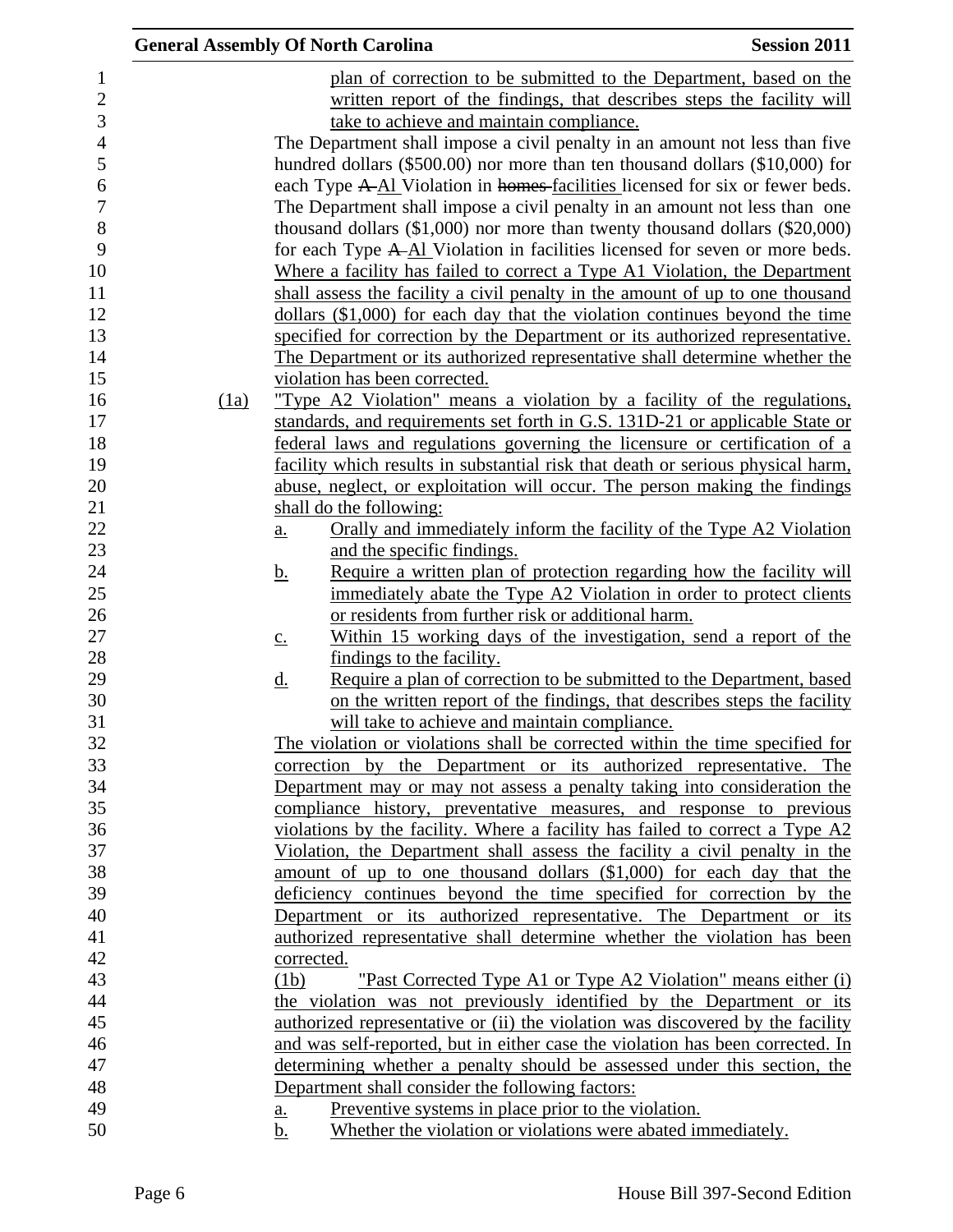|      | <b>General Assembly Of North Carolina</b>                                                                                                       | <b>Session 2011</b> |
|------|-------------------------------------------------------------------------------------------------------------------------------------------------|---------------------|
|      | plan of correction to be submitted to the Department, based on the                                                                              |                     |
|      | written report of the findings, that describes steps the facility will                                                                          |                     |
|      | take to achieve and maintain compliance.                                                                                                        |                     |
|      | The Department shall impose a civil penalty in an amount not less than five                                                                     |                     |
|      | hundred dollars (\$500.00) nor more than ten thousand dollars (\$10,000) for                                                                    |                     |
|      | each Type A-Al Violation in homes-facilities licensed for six or fewer beds.                                                                    |                     |
|      | The Department shall impose a civil penalty in an amount not less than one                                                                      |                     |
|      | thousand dollars $(\$1,000)$ nor more than twenty thousand dollars $(\$20,000)$                                                                 |                     |
|      | for each Type A-Al Violation in facilities licensed for seven or more beds.                                                                     |                     |
|      | Where a facility has failed to correct a Type A1 Violation, the Department                                                                      |                     |
|      | shall assess the facility a civil penalty in the amount of up to one thousand                                                                   |                     |
|      | dollars (\$1,000) for each day that the violation continues beyond the time                                                                     |                     |
|      | specified for correction by the Department or its authorized representative.                                                                    |                     |
|      | The Department or its authorized representative shall determine whether the                                                                     |                     |
|      | violation has been corrected.                                                                                                                   |                     |
| (1a) | "Type A2 Violation" means a violation by a facility of the regulations,                                                                         |                     |
|      | standards, and requirements set forth in G.S. 131D-21 or applicable State or                                                                    |                     |
|      | federal laws and regulations governing the licensure or certification of a                                                                      |                     |
|      | facility which results in substantial risk that death or serious physical harm,                                                                 |                     |
|      | abuse, neglect, or exploitation will occur. The person making the findings                                                                      |                     |
|      | shall do the following:                                                                                                                         |                     |
|      | Orally and immediately inform the facility of the Type A2 Violation<br>a.                                                                       |                     |
|      | and the specific findings.                                                                                                                      |                     |
|      | Require a written plan of protection regarding how the facility will<br><u>b.</u>                                                               |                     |
|      | immediately abate the Type A2 Violation in order to protect clients                                                                             |                     |
|      | or residents from further risk or additional harm.                                                                                              |                     |
|      | Within 15 working days of the investigation, send a report of the<br>$\underline{c}$ .                                                          |                     |
|      | findings to the facility.                                                                                                                       |                     |
|      | Require a plan of correction to be submitted to the Department, based<br><u>d.</u>                                                              |                     |
|      | on the written report of the findings, that describes steps the facility                                                                        |                     |
|      | will take to achieve and maintain compliance.                                                                                                   |                     |
|      | The violation or violations shall be corrected within the time specified for                                                                    |                     |
|      | correction by the Department or its authorized representative. The                                                                              |                     |
|      | Department may or may not assess a penalty taking into consideration the<br>compliance history, preventative measures, and response to previous |                     |
|      | violations by the facility. Where a facility has failed to correct a Type A2                                                                    |                     |
|      | Violation, the Department shall assess the facility a civil penalty in the                                                                      |                     |
|      | amount of up to one thousand dollars $(\$1,000)$ for each day that the                                                                          |                     |
|      | deficiency continues beyond the time specified for correction by the                                                                            |                     |
|      | Department or its authorized representative. The Department or its                                                                              |                     |
|      | authorized representative shall determine whether the violation has been                                                                        |                     |
|      | corrected.                                                                                                                                      |                     |
|      | "Past Corrected Type A1 or Type A2 Violation" means either (i)<br>(1b)                                                                          |                     |
|      | the violation was not previously identified by the Department or its                                                                            |                     |
|      | authorized representative or (ii) the violation was discovered by the facility                                                                  |                     |
|      | and was self-reported, but in either case the violation has been corrected. In                                                                  |                     |
|      | determining whether a penalty should be assessed under this section, the                                                                        |                     |
|      | Department shall consider the following factors:                                                                                                |                     |
|      | Preventive systems in place prior to the violation.<br><u>a.</u>                                                                                |                     |
|      | Whether the violation or violations were abated immediately.<br>b.                                                                              |                     |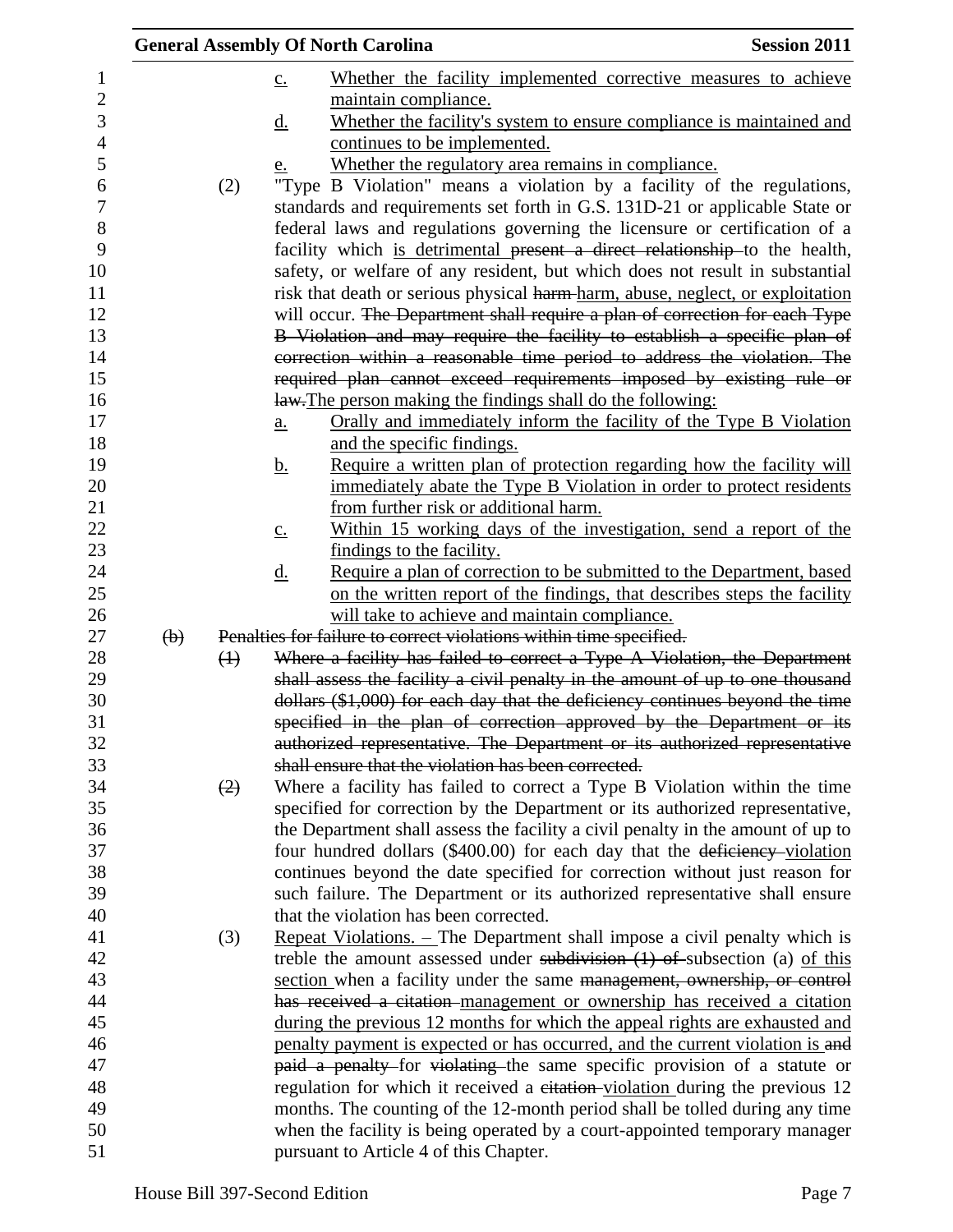|                           |                   | <b>General Assembly Of North Carolina</b>                                                                                                                     | <b>Session 2011</b> |
|---------------------------|-------------------|---------------------------------------------------------------------------------------------------------------------------------------------------------------|---------------------|
|                           |                   | Whether the facility implemented corrective measures to achieve<br>$\underline{c}$ .                                                                          |                     |
|                           |                   | maintain compliance.                                                                                                                                          |                     |
|                           |                   | Whether the facility's system to ensure compliance is maintained and<br><u>d.</u>                                                                             |                     |
|                           |                   | continues to be implemented.                                                                                                                                  |                     |
|                           |                   | Whether the regulatory area remains in compliance.<br><u>e.</u>                                                                                               |                     |
|                           | (2)               | "Type B Violation" means a violation by a facility of the regulations,                                                                                        |                     |
|                           |                   | standards and requirements set forth in G.S. 131D-21 or applicable State or                                                                                   |                     |
|                           |                   | federal laws and regulations governing the licensure or certification of a                                                                                    |                     |
|                           |                   | facility which is detrimental present a direct relationship to the health,                                                                                    |                     |
|                           |                   | safety, or welfare of any resident, but which does not result in substantial                                                                                  |                     |
|                           |                   | risk that death or serious physical harm-harm, abuse, neglect, or exploitation                                                                                |                     |
|                           |                   | will occur. The Department shall require a plan of correction for each Type                                                                                   |                     |
|                           |                   | B Violation and may require the facility to establish a specific plan of                                                                                      |                     |
|                           |                   | correction within a reasonable time period to address the violation. The                                                                                      |                     |
|                           |                   | required plan cannot exceed requirements imposed by existing rule or                                                                                          |                     |
|                           |                   | law. The person making the findings shall do the following:                                                                                                   |                     |
|                           |                   | Orally and immediately inform the facility of the Type B Violation<br>a.                                                                                      |                     |
|                           |                   | and the specific findings.<br>Require a written plan of protection regarding how the facility will                                                            |                     |
|                           |                   | <u>b.</u><br>immediately abate the Type B Violation in order to protect residents                                                                             |                     |
|                           |                   | from further risk or additional harm.                                                                                                                         |                     |
|                           |                   | Within 15 working days of the investigation, send a report of the<br>$\underline{c}$ .                                                                        |                     |
|                           |                   | findings to the facility.                                                                                                                                     |                     |
|                           |                   | Require a plan of correction to be submitted to the Department, based<br>$\underline{\mathrm{d}}$ .                                                           |                     |
|                           |                   | on the written report of the findings, that describes steps the facility                                                                                      |                     |
|                           |                   | will take to achieve and maintain compliance.                                                                                                                 |                     |
| $\left(\mathbf{b}\right)$ |                   | Penalties for failure to correct violations within time specified.                                                                                            |                     |
|                           | $\leftrightarrow$ | Where a facility has failed to correct a Type A Violation, the Department                                                                                     |                     |
|                           |                   | shall assess the facility a civil penalty in the amount of up to one thousand                                                                                 |                     |
|                           |                   | dollars (\$1,000) for each day that the deficiency continues beyond the time                                                                                  |                     |
|                           |                   | specified in the plan of correction approved by the Department or its                                                                                         |                     |
|                           |                   | authorized representative. The Department or its authorized representative                                                                                    |                     |
|                           |                   | shall ensure that the violation has been corrected.                                                                                                           |                     |
|                           | (2)               | Where a facility has failed to correct a Type B Violation within the time                                                                                     |                     |
|                           |                   | specified for correction by the Department or its authorized representative,                                                                                  |                     |
|                           |                   | the Department shall assess the facility a civil penalty in the amount of up to<br>four hundred dollars (\$400.00) for each day that the deficiency-violation |                     |
|                           |                   | continues beyond the date specified for correction without just reason for                                                                                    |                     |
|                           |                   | such failure. The Department or its authorized representative shall ensure                                                                                    |                     |
|                           |                   | that the violation has been corrected.                                                                                                                        |                     |
|                           | (3)               | Repeat Violations. - The Department shall impose a civil penalty which is                                                                                     |                     |
|                           |                   | treble the amount assessed under subdivision $(1)$ of subsection (a) of this                                                                                  |                     |
|                           |                   | section when a facility under the same management, ownership, or control                                                                                      |                     |
|                           |                   | has received a citation management or ownership has received a citation                                                                                       |                     |
|                           |                   | during the previous 12 months for which the appeal rights are exhausted and                                                                                   |                     |
|                           |                   | penalty payment is expected or has occurred, and the current violation is and                                                                                 |                     |
|                           |                   | paid a penalty for violating the same specific provision of a statute or                                                                                      |                     |
|                           |                   | regulation for which it received a citation-violation during the previous 12                                                                                  |                     |
|                           |                   | months. The counting of the 12-month period shall be tolled during any time                                                                                   |                     |
|                           |                   | when the facility is being operated by a court-appointed temporary manager                                                                                    |                     |
|                           |                   | pursuant to Article 4 of this Chapter.                                                                                                                        |                     |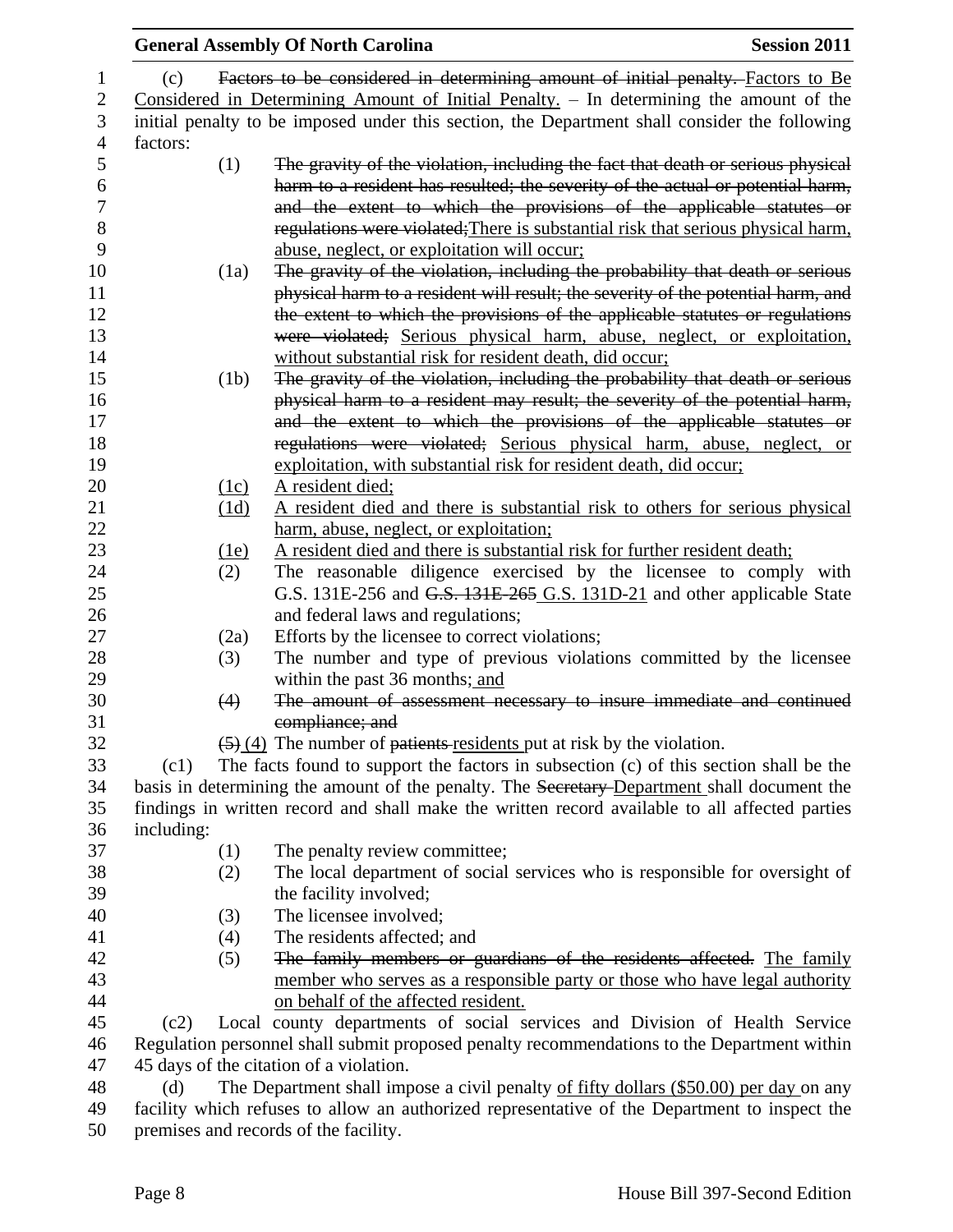|                                         |                                       | <b>General Assembly Of North Carolina</b>                                                               | <b>Session 2011</b> |  |
|-----------------------------------------|---------------------------------------|---------------------------------------------------------------------------------------------------------|---------------------|--|
| (c)                                     |                                       | Factors to be considered in determining amount of initial penalty. Factors to Be                        |                     |  |
|                                         |                                       | Considered in Determining Amount of Initial Penalty. - In determining the amount of the                 |                     |  |
|                                         |                                       | initial penalty to be imposed under this section, the Department shall consider the following           |                     |  |
| factors:                                |                                       |                                                                                                         |                     |  |
|                                         | (1)                                   | The gravity of the violation, including the fact that death or serious physical                         |                     |  |
|                                         |                                       | harm to a resident has resulted; the severity of the actual or potential harm,                          |                     |  |
|                                         |                                       | and the extent to which the provisions of the applicable statutes or                                    |                     |  |
|                                         |                                       |                                                                                                         |                     |  |
|                                         |                                       | regulations were violated; There is substantial risk that serious physical harm,                        |                     |  |
|                                         |                                       | abuse, neglect, or exploitation will occur;                                                             |                     |  |
|                                         | (1a)                                  | The gravity of the violation, including the probability that death or serious                           |                     |  |
|                                         |                                       | physical harm to a resident will result; the severity of the potential harm, and                        |                     |  |
|                                         |                                       | the extent to which the provisions of the applicable statutes or regulations                            |                     |  |
|                                         |                                       | were violated; Serious physical harm, abuse, neglect, or exploitation,                                  |                     |  |
|                                         |                                       | without substantial risk for resident death, did occur;                                                 |                     |  |
|                                         | (1b)                                  | The gravity of the violation, including the probability that death or serious                           |                     |  |
|                                         |                                       | physical harm to a resident may result; the severity of the potential harm,                             |                     |  |
|                                         |                                       | and the extent to which the provisions of the applicable statutes or                                    |                     |  |
|                                         |                                       | regulations were violated; Serious physical harm, abuse, neglect, or                                    |                     |  |
|                                         |                                       | exploitation, with substantial risk for resident death, did occur;                                      |                     |  |
|                                         | (1c)                                  | A resident died;                                                                                        |                     |  |
|                                         | (1d)                                  | A resident died and there is substantial risk to others for serious physical                            |                     |  |
|                                         |                                       | harm, abuse, neglect, or exploitation;                                                                  |                     |  |
|                                         | <u>(1e)</u>                           | A resident died and there is substantial risk for further resident death;                               |                     |  |
|                                         | (2)                                   | The reasonable diligence exercised by the licensee to comply with                                       |                     |  |
|                                         |                                       | G.S. 131E-256 and G.S. 131E-265 G.S. 131D-21 and other applicable State                                 |                     |  |
|                                         |                                       | and federal laws and regulations;                                                                       |                     |  |
|                                         | (2a)                                  | Efforts by the licensee to correct violations;                                                          |                     |  |
|                                         | (3)                                   | The number and type of previous violations committed by the licensee                                    |                     |  |
|                                         |                                       | within the past 36 months; and                                                                          |                     |  |
|                                         | (4)                                   | The amount of assessment necessary to insure immediate and continued                                    |                     |  |
|                                         |                                       | compliance; and                                                                                         |                     |  |
|                                         |                                       | $\left(\frac{5}{2}\right)\left(4\right)$ The number of patients residents put at risk by the violation. |                     |  |
| (c1)                                    |                                       | The facts found to support the factors in subsection (c) of this section shall be the                   |                     |  |
|                                         |                                       | basis in determining the amount of the penalty. The Secretary-Department shall document the             |                     |  |
|                                         |                                       | findings in written record and shall make the written record available to all affected parties          |                     |  |
| including:                              |                                       |                                                                                                         |                     |  |
|                                         | (1)                                   | The penalty review committee;                                                                           |                     |  |
|                                         | (2)                                   | The local department of social services who is responsible for oversight of                             |                     |  |
|                                         |                                       | the facility involved;                                                                                  |                     |  |
|                                         | (3)                                   | The licensee involved;                                                                                  |                     |  |
|                                         | (4)                                   | The residents affected; and                                                                             |                     |  |
|                                         | (5)                                   | The family members or guardians of the residents affected. The family                                   |                     |  |
|                                         |                                       | member who serves as a responsible party or those who have legal authority                              |                     |  |
|                                         |                                       | on behalf of the affected resident.                                                                     |                     |  |
| (c2)                                    |                                       | Local county departments of social services and Division of Health Service                              |                     |  |
|                                         |                                       | Regulation personnel shall submit proposed penalty recommendations to the Department within             |                     |  |
| 45 days of the citation of a violation. |                                       |                                                                                                         |                     |  |
| (d)                                     |                                       | The Department shall impose a civil penalty of fifty dollars (\$50.00) per day on any                   |                     |  |
|                                         |                                       | facility which refuses to allow an authorized representative of the Department to inspect the           |                     |  |
|                                         | premises and records of the facility. |                                                                                                         |                     |  |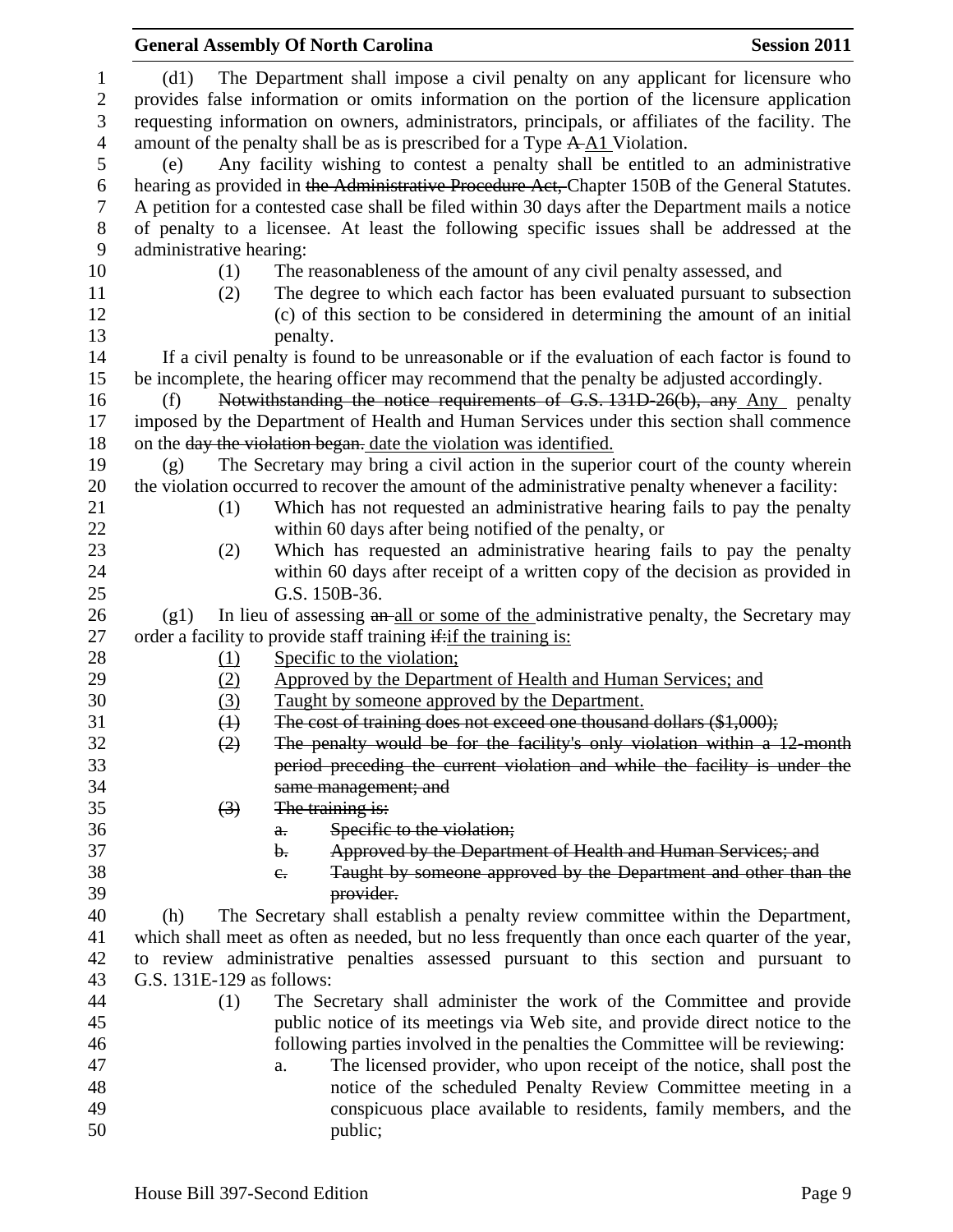|                                     |                           | <b>General Assembly Of North Carolina</b>                                                                                                                                                                                                                                         | <b>Session 2011</b> |
|-------------------------------------|---------------------------|-----------------------------------------------------------------------------------------------------------------------------------------------------------------------------------------------------------------------------------------------------------------------------------|---------------------|
| $\mathbf{1}$<br>$\overline{2}$<br>3 | (d1)                      | The Department shall impose a civil penalty on any applicant for licensure who<br>provides false information or omits information on the portion of the licensure application<br>requesting information on owners, administrators, principals, or affiliates of the facility. The |                     |
| $\overline{4}$<br>5                 | (e)                       | amount of the penalty shall be as is prescribed for a Type A-A1 Violation.<br>Any facility wishing to contest a penalty shall be entitled to an administrative                                                                                                                    |                     |
| 6<br>$\tau$                         |                           | hearing as provided in the Administrative Procedure Act, Chapter 150B of the General Statutes.<br>A petition for a contested case shall be filed within 30 days after the Department mails a notice                                                                               |                     |
| $8\phantom{1}$<br>9                 | administrative hearing:   | of penalty to a licensee. At least the following specific issues shall be addressed at the                                                                                                                                                                                        |                     |
| 10                                  | (1)                       | The reasonableness of the amount of any civil penalty assessed, and                                                                                                                                                                                                               |                     |
| 11<br>12                            | (2)                       | The degree to which each factor has been evaluated pursuant to subsection<br>(c) of this section to be considered in determining the amount of an initial                                                                                                                         |                     |
| 13                                  |                           | penalty.                                                                                                                                                                                                                                                                          |                     |
| 14                                  |                           | If a civil penalty is found to be unreasonable or if the evaluation of each factor is found to                                                                                                                                                                                    |                     |
| 15                                  |                           | be incomplete, the hearing officer may recommend that the penalty be adjusted accordingly.                                                                                                                                                                                        |                     |
| 16                                  | (f)                       | Notwithstanding the notice requirements of G.S. 131D-26(b), any Any penalty                                                                                                                                                                                                       |                     |
| 17                                  |                           | imposed by the Department of Health and Human Services under this section shall commence                                                                                                                                                                                          |                     |
| 18                                  |                           | on the day the violation began. date the violation was identified.                                                                                                                                                                                                                |                     |
| 19                                  | (g)                       | The Secretary may bring a civil action in the superior court of the county wherein                                                                                                                                                                                                |                     |
| 20                                  |                           | the violation occurred to recover the amount of the administrative penalty whenever a facility:                                                                                                                                                                                   |                     |
| 21                                  | (1)                       | Which has not requested an administrative hearing fails to pay the penalty                                                                                                                                                                                                        |                     |
| 22                                  |                           | within 60 days after being notified of the penalty, or                                                                                                                                                                                                                            |                     |
| 23                                  | (2)                       | Which has requested an administrative hearing fails to pay the penalty                                                                                                                                                                                                            |                     |
| 24<br>25                            |                           | within 60 days after receipt of a written copy of the decision as provided in<br>G.S. 150B-36.                                                                                                                                                                                    |                     |
| 26                                  | (g1)                      | In lieu of assessing an all or some of the administrative penalty, the Secretary may                                                                                                                                                                                              |                     |
| 27                                  |                           | order a facility to provide staff training if: if the training is:                                                                                                                                                                                                                |                     |
| 28                                  | <u>(1)</u>                | Specific to the violation;                                                                                                                                                                                                                                                        |                     |
| 29                                  | (2)                       | Approved by the Department of Health and Human Services; and                                                                                                                                                                                                                      |                     |
| 30                                  | (3)                       | Taught by someone approved by the Department.                                                                                                                                                                                                                                     |                     |
| 31                                  | $\leftrightarrow$         | The cost of training does not exceed one thousand dollars (\$1,000);                                                                                                                                                                                                              |                     |
| 32                                  | (2)                       | The penalty would be for the facility's only violation within a 12 month                                                                                                                                                                                                          |                     |
| 33                                  |                           | period preceding the current violation and while the facility is under the                                                                                                                                                                                                        |                     |
| 34                                  |                           | same management; and                                                                                                                                                                                                                                                              |                     |
| 35                                  | $\left(3\right)$          | The training is:                                                                                                                                                                                                                                                                  |                     |
| 36                                  |                           | Specific to the violation;<br>$\theta$ .                                                                                                                                                                                                                                          |                     |
| 37                                  |                           | Approved by the Department of Health and Human Services; and<br>b.                                                                                                                                                                                                                |                     |
| 38                                  |                           | Taught by someone approved by the Department and other than the<br>$e_{\cdot}$                                                                                                                                                                                                    |                     |
| 39                                  |                           | provider.                                                                                                                                                                                                                                                                         |                     |
| 40                                  | (h)                       | The Secretary shall establish a penalty review committee within the Department,                                                                                                                                                                                                   |                     |
| 41                                  |                           | which shall meet as often as needed, but no less frequently than once each quarter of the year,                                                                                                                                                                                   |                     |
| 42<br>43                            | G.S. 131E-129 as follows: | to review administrative penalties assessed pursuant to this section and pursuant to                                                                                                                                                                                              |                     |
| 44                                  | (1)                       |                                                                                                                                                                                                                                                                                   |                     |
| 45                                  |                           | The Secretary shall administer the work of the Committee and provide<br>public notice of its meetings via Web site, and provide direct notice to the                                                                                                                              |                     |
| 46                                  |                           | following parties involved in the penalties the Committee will be reviewing:                                                                                                                                                                                                      |                     |
| 47                                  |                           | The licensed provider, who upon receipt of the notice, shall post the<br>a.                                                                                                                                                                                                       |                     |
| 48                                  |                           | notice of the scheduled Penalty Review Committee meeting in a                                                                                                                                                                                                                     |                     |
| 49                                  |                           | conspicuous place available to residents, family members, and the                                                                                                                                                                                                                 |                     |
| 50                                  |                           | public;                                                                                                                                                                                                                                                                           |                     |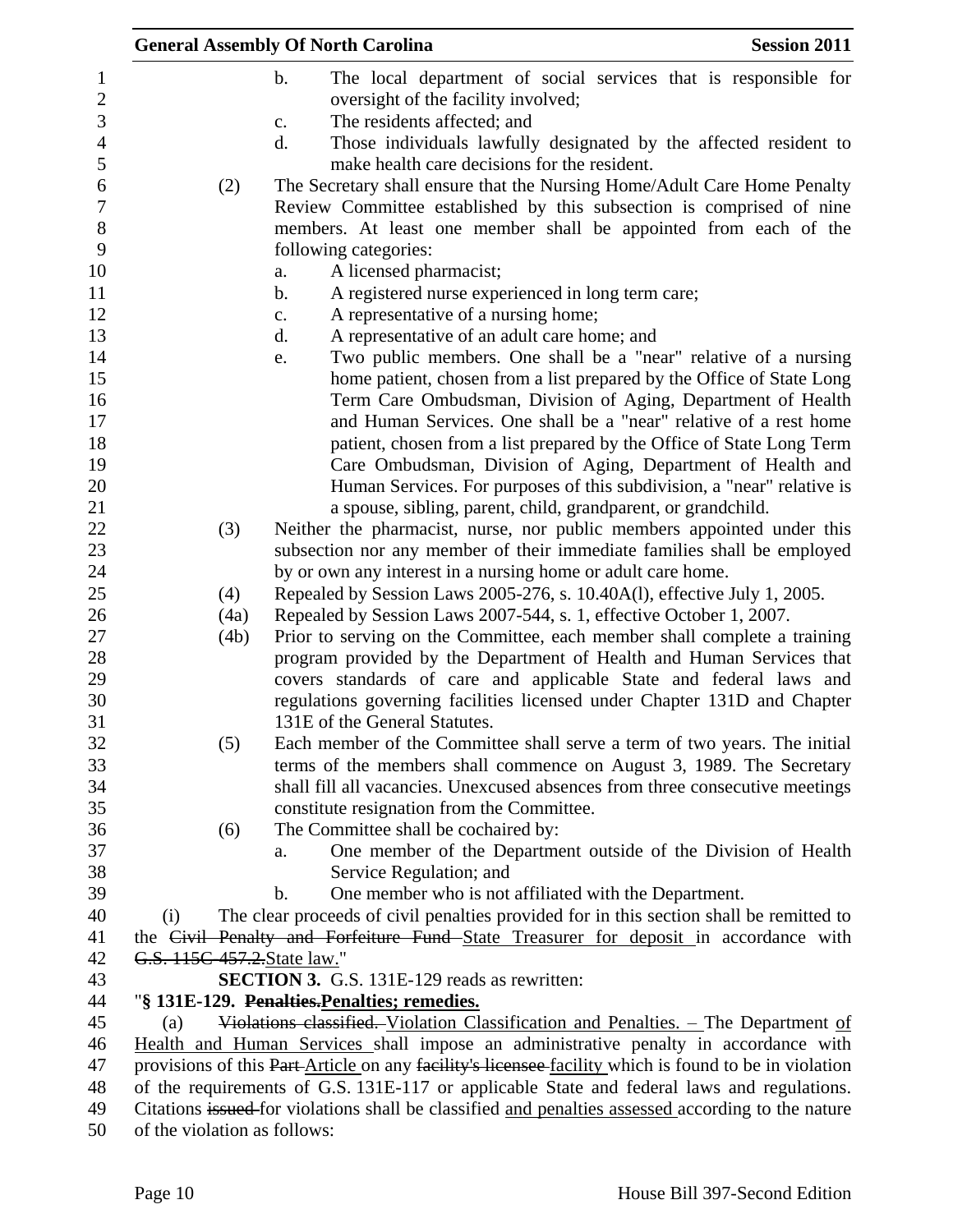|                     |                              | <b>General Assembly Of North Carolina</b>                                                                                                        | <b>Session 2011</b> |
|---------------------|------------------------------|--------------------------------------------------------------------------------------------------------------------------------------------------|---------------------|
| $\overline{c}$      |                              | $\mathbf b$ .<br>The local department of social services that is responsible for<br>oversight of the facility involved;                          |                     |
| 3<br>$\overline{4}$ |                              | The residents affected; and<br>$\mathbf{c}$ .<br>d.<br>Those individuals lawfully designated by the affected resident to                         |                     |
| 5                   |                              | make health care decisions for the resident.                                                                                                     |                     |
|                     | (2)                          | The Secretary shall ensure that the Nursing Home/Adult Care Home Penalty<br>Review Committee established by this subsection is comprised of nine |                     |
|                     |                              | members. At least one member shall be appointed from each of the                                                                                 |                     |
|                     |                              | following categories:                                                                                                                            |                     |
|                     |                              | A licensed pharmacist;<br>a.                                                                                                                     |                     |
|                     |                              | A registered nurse experienced in long term care;<br>$\mathbf b$ .                                                                               |                     |
|                     |                              | A representative of a nursing home;<br>c.                                                                                                        |                     |
|                     |                              | d.<br>A representative of an adult care home; and                                                                                                |                     |
|                     |                              | Two public members. One shall be a "near" relative of a nursing<br>e.                                                                            |                     |
|                     |                              | home patient, chosen from a list prepared by the Office of State Long                                                                            |                     |
|                     |                              | Term Care Ombudsman, Division of Aging, Department of Health                                                                                     |                     |
|                     |                              | and Human Services. One shall be a "near" relative of a rest home                                                                                |                     |
|                     |                              | patient, chosen from a list prepared by the Office of State Long Term                                                                            |                     |
|                     |                              | Care Ombudsman, Division of Aging, Department of Health and                                                                                      |                     |
|                     |                              | Human Services. For purposes of this subdivision, a "near" relative is                                                                           |                     |
|                     |                              | a spouse, sibling, parent, child, grandparent, or grandchild.                                                                                    |                     |
|                     | (3)                          | Neither the pharmacist, nurse, nor public members appointed under this                                                                           |                     |
|                     |                              | subsection nor any member of their immediate families shall be employed                                                                          |                     |
|                     |                              | by or own any interest in a nursing home or adult care home.                                                                                     |                     |
|                     | (4)                          | Repealed by Session Laws 2005-276, s. 10.40A(l), effective July 1, 2005.                                                                         |                     |
|                     | (4a)                         | Repealed by Session Laws 2007-544, s. 1, effective October 1, 2007.                                                                              |                     |
|                     | (4b)                         | Prior to serving on the Committee, each member shall complete a training                                                                         |                     |
|                     |                              | program provided by the Department of Health and Human Services that<br>covers standards of care and applicable State and federal laws and       |                     |
|                     |                              | regulations governing facilities licensed under Chapter 131D and Chapter                                                                         |                     |
|                     |                              | 131E of the General Statutes.                                                                                                                    |                     |
|                     | (5)                          | Each member of the Committee shall serve a term of two years. The initial                                                                        |                     |
|                     |                              | terms of the members shall commence on August 3, 1989. The Secretary                                                                             |                     |
|                     |                              | shall fill all vacancies. Unexcused absences from three consecutive meetings                                                                     |                     |
|                     |                              | constitute resignation from the Committee.                                                                                                       |                     |
|                     | (6)                          | The Committee shall be cochaired by:                                                                                                             |                     |
|                     |                              | One member of the Department outside of the Division of Health<br>a.                                                                             |                     |
|                     |                              | Service Regulation; and                                                                                                                          |                     |
|                     |                              | $\mathbf b$ .<br>One member who is not affiliated with the Department.                                                                           |                     |
|                     | (i)                          | The clear proceeds of civil penalties provided for in this section shall be remitted to                                                          |                     |
|                     |                              | the Civil Penalty and Forfeiture Fund State Treasurer for deposit in accordance with                                                             |                     |
|                     | G.S. 115C-457.2. State law." |                                                                                                                                                  |                     |
|                     |                              | <b>SECTION 3.</b> G.S. 131E-129 reads as rewritten:                                                                                              |                     |
|                     |                              | "§ 131E-129. Penalties. Penalties; remedies.                                                                                                     |                     |
|                     | (a)                          | Violations classified. Violation Classification and Penalties. - The Department of                                                               |                     |
|                     |                              | Health and Human Services shall impose an administrative penalty in accordance with                                                              |                     |
|                     |                              | provisions of this Part-Article on any facility's licensee-facility which is found to be in violation                                            |                     |
|                     |                              | of the requirements of G.S. 131E-117 or applicable State and federal laws and regulations.                                                       |                     |
|                     |                              | Citations issued for violations shall be classified and penalties assessed according to the nature                                               |                     |
|                     | of the violation as follows: |                                                                                                                                                  |                     |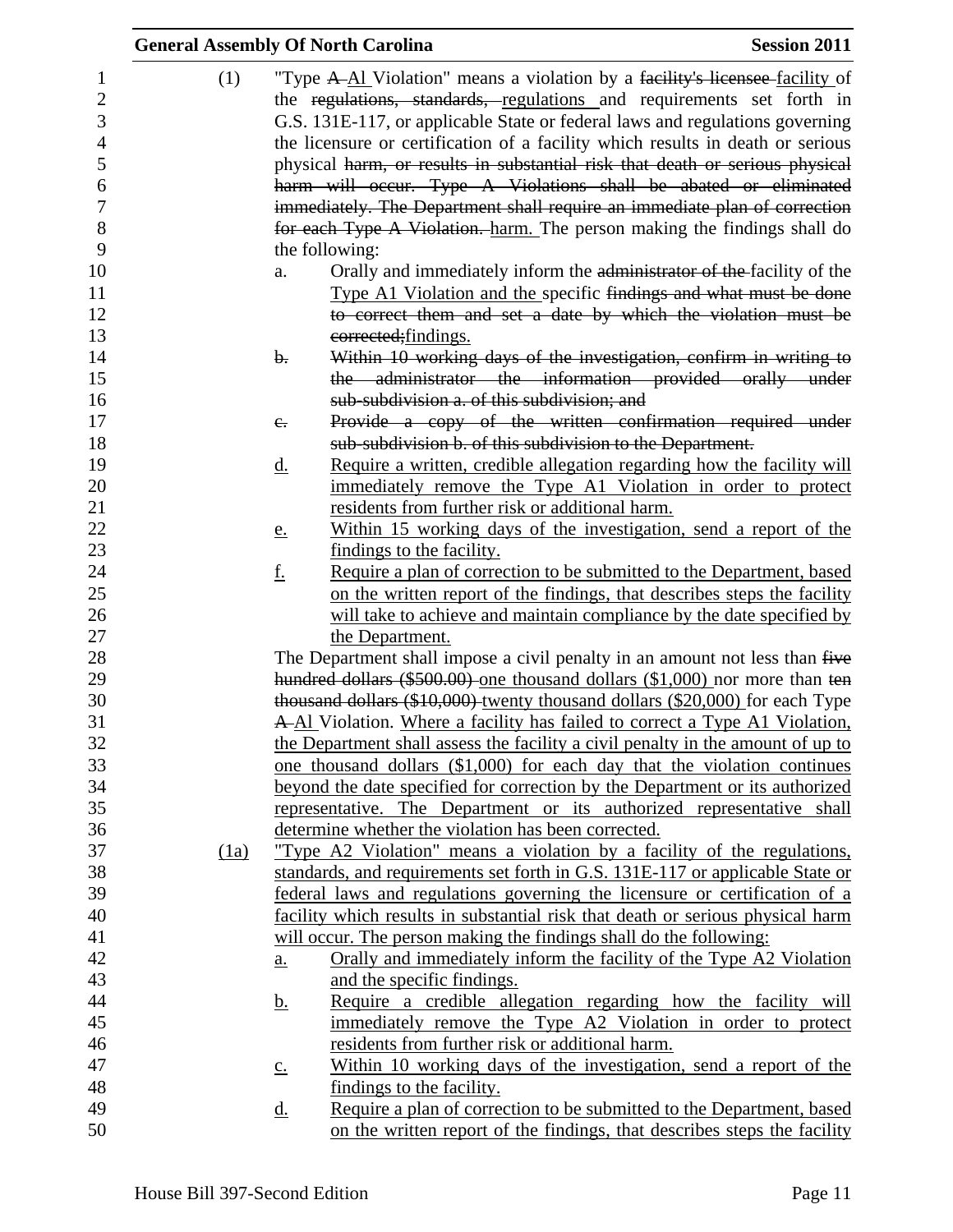|      | <b>General Assembly Of North Carolina</b>                                                                                                                                                                                             | <b>Session 2011</b> |
|------|---------------------------------------------------------------------------------------------------------------------------------------------------------------------------------------------------------------------------------------|---------------------|
| (1)  | "Type A-Al Violation" means a violation by a facility's licensee facility of<br>the regulations, standards, regulations and requirements set forth in<br>G.S. 131E-117, or applicable State or federal laws and regulations governing |                     |
|      | the licensure or certification of a facility which results in death or serious                                                                                                                                                        |                     |
|      | physical harm, or results in substantial risk that death or serious physical                                                                                                                                                          |                     |
|      | harm will occur. Type A Violations shall be abated or eliminated                                                                                                                                                                      |                     |
|      | immediately. The Department shall require an immediate plan of correction                                                                                                                                                             |                     |
|      | for each Type A Violation. harm. The person making the findings shall do                                                                                                                                                              |                     |
|      | the following:                                                                                                                                                                                                                        |                     |
|      | Orally and immediately inform the administrator of the facility of the<br>a.                                                                                                                                                          |                     |
|      | Type A1 Violation and the specific findings and what must be done                                                                                                                                                                     |                     |
|      | to correct them and set a date by which the violation must be                                                                                                                                                                         |                     |
|      | corrected; findings.                                                                                                                                                                                                                  |                     |
|      | Within 10 working days of the investigation, confirm in writing to<br>$\mathbf{b}$ .                                                                                                                                                  |                     |
|      | the administrator the information provided orally under                                                                                                                                                                               |                     |
|      | sub-subdivision a. of this subdivision; and                                                                                                                                                                                           |                     |
|      | Provide a copy of the written confirmation required under<br>$e_{i}$                                                                                                                                                                  |                     |
|      | sub-subdivision b. of this subdivision to the Department.                                                                                                                                                                             |                     |
|      | Require a written, credible allegation regarding how the facility will<br><u>d.</u>                                                                                                                                                   |                     |
|      | immediately remove the Type A1 Violation in order to protect                                                                                                                                                                          |                     |
|      | residents from further risk or additional harm.                                                                                                                                                                                       |                     |
|      | Within 15 working days of the investigation, send a report of the<br><u>e.</u>                                                                                                                                                        |                     |
|      | findings to the facility.                                                                                                                                                                                                             |                     |
|      | <u>f.</u><br>Require a plan of correction to be submitted to the Department, based                                                                                                                                                    |                     |
|      | on the written report of the findings, that describes steps the facility                                                                                                                                                              |                     |
|      | will take to achieve and maintain compliance by the date specified by<br>the Department.                                                                                                                                              |                     |
|      | The Department shall impose a civil penalty in an amount not less than five                                                                                                                                                           |                     |
|      | hundred dollars (\$500.00) one thousand dollars (\$1,000) nor more than ten                                                                                                                                                           |                     |
|      | thousand dollars (\$10,000) twenty thousand dollars (\$20,000) for each Type                                                                                                                                                          |                     |
|      | A-Al Violation. Where a facility has failed to correct a Type A1 Violation,                                                                                                                                                           |                     |
|      | the Department shall assess the facility a civil penalty in the amount of up to                                                                                                                                                       |                     |
|      | one thousand dollars (\$1,000) for each day that the violation continues                                                                                                                                                              |                     |
|      | beyond the date specified for correction by the Department or its authorized                                                                                                                                                          |                     |
|      | representative. The Department or its authorized representative shall                                                                                                                                                                 |                     |
|      | determine whether the violation has been corrected.                                                                                                                                                                                   |                     |
| (1a) | "Type A2 Violation" means a violation by a facility of the regulations,                                                                                                                                                               |                     |
|      | standards, and requirements set forth in G.S. 131E-117 or applicable State or                                                                                                                                                         |                     |
|      | federal laws and regulations governing the licensure or certification of a                                                                                                                                                            |                     |
|      | facility which results in substantial risk that death or serious physical harm                                                                                                                                                        |                     |
|      | will occur. The person making the findings shall do the following:                                                                                                                                                                    |                     |
|      | Orally and immediately inform the facility of the Type A2 Violation<br>a.                                                                                                                                                             |                     |
|      | and the specific findings.                                                                                                                                                                                                            |                     |
|      | Require a credible allegation regarding how the facility will<br><u>b.</u>                                                                                                                                                            |                     |
|      | immediately remove the Type A2 Violation in order to protect                                                                                                                                                                          |                     |
|      | residents from further risk or additional harm.                                                                                                                                                                                       |                     |
|      | Within 10 working days of the investigation, send a report of the<br>$\underline{c}$ .                                                                                                                                                |                     |
|      | findings to the facility.                                                                                                                                                                                                             |                     |
|      | Require a plan of correction to be submitted to the Department, based<br><u>d.</u>                                                                                                                                                    |                     |
|      | on the written report of the findings, that describes steps the facility                                                                                                                                                              |                     |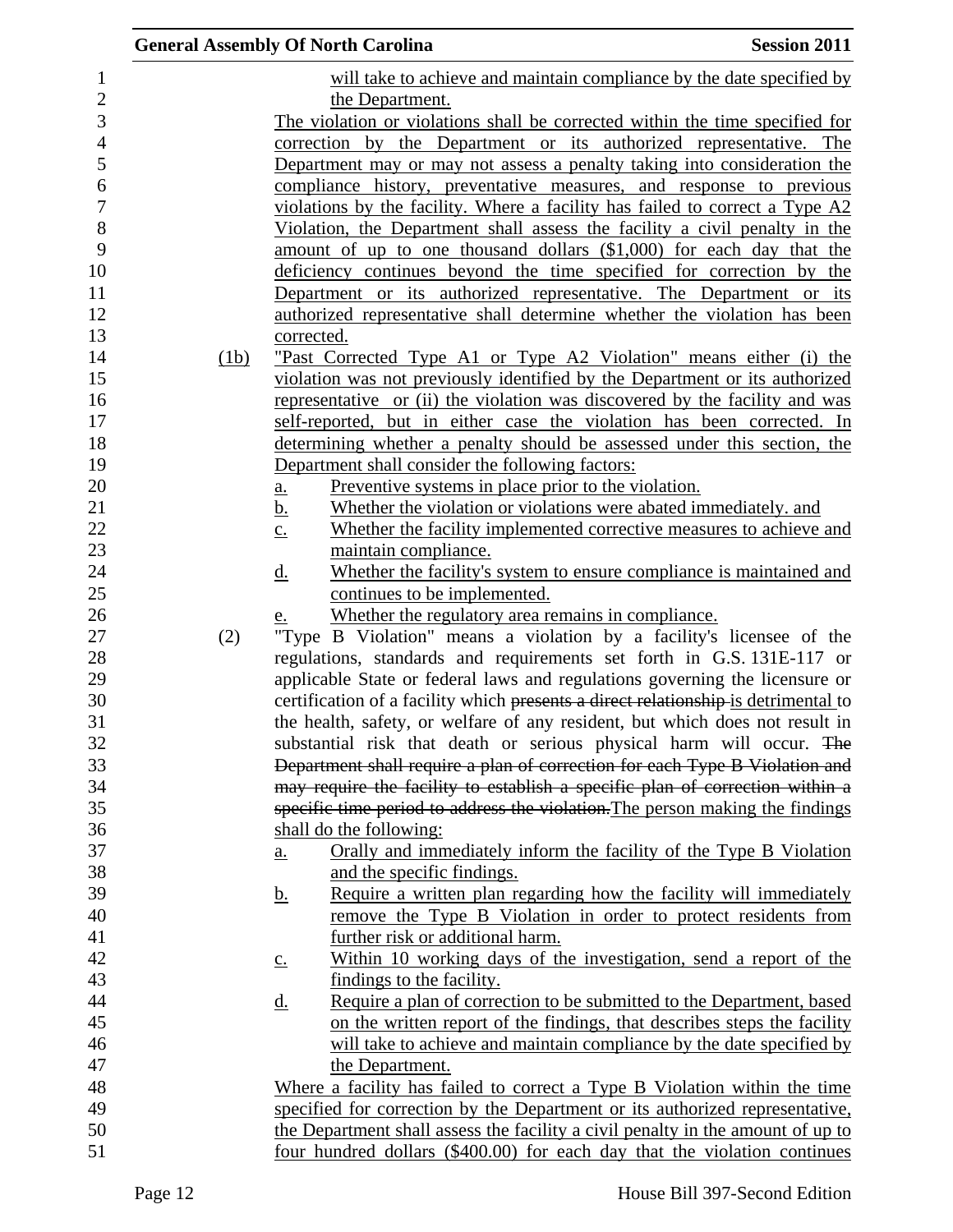|      | <b>General Assembly Of North Carolina</b>                                                          | <b>Session 2011</b> |
|------|----------------------------------------------------------------------------------------------------|---------------------|
|      | will take to achieve and maintain compliance by the date specified by                              |                     |
|      | the Department.                                                                                    |                     |
|      | The violation or violations shall be corrected within the time specified for                       |                     |
|      | correction by the Department or its authorized representative. The                                 |                     |
|      | Department may or may not assess a penalty taking into consideration the                           |                     |
|      | compliance history, preventative measures, and response to previous                                |                     |
|      | violations by the facility. Where a facility has failed to correct a Type A2                       |                     |
|      | Violation, the Department shall assess the facility a civil penalty in the                         |                     |
|      | amount of up to one thousand dollars (\$1,000) for each day that the                               |                     |
|      | deficiency continues beyond the time specified for correction by the                               |                     |
|      | Department or its authorized representative. The Department or its                                 |                     |
|      | authorized representative shall determine whether the violation has been                           |                     |
|      | corrected.                                                                                         |                     |
| (1b) | <u>"Past Corrected Type A1 or Type A2 Violation" means either (i) the</u>                          |                     |
|      | violation was not previously identified by the Department or its authorized                        |                     |
|      | representative or (ii) the violation was discovered by the facility and was                        |                     |
|      | self-reported, but in either case the violation has been corrected. In                             |                     |
|      | determining whether a penalty should be assessed under this section, the                           |                     |
|      | Department shall consider the following factors:                                                   |                     |
|      | Preventive systems in place prior to the violation.<br>a.                                          |                     |
|      | Whether the violation or violations were abated immediately, and<br><u>b.</u>                      |                     |
|      | Whether the facility implemented corrective measures to achieve and<br>$\underline{c}$ .           |                     |
|      | maintain compliance.                                                                               |                     |
|      | Whether the facility's system to ensure compliance is maintained and<br><u>d.</u>                  |                     |
|      | continues to be implemented.                                                                       |                     |
|      | Whether the regulatory area remains in compliance.<br><u>e.</u>                                    |                     |
| (2)  | "Type B Violation" means a violation by a facility's licensee of the                               |                     |
|      | regulations, standards and requirements set forth in G.S. 131E-117 or                              |                     |
|      | applicable State or federal laws and regulations governing the licensure or                        |                     |
|      | certification of a facility which presents a direct relationship-is detrimental to                 |                     |
|      | the health, safety, or welfare of any resident, but which does not result in                       |                     |
|      | substantial risk that death or serious physical harm will occur. The                               |                     |
|      | Department shall require a plan of correction for each Type B Violation and                        |                     |
|      | may require the facility to establish a specific plan of correction within a                       |                     |
|      | specific time period to address the violation. The person making the findings                      |                     |
|      | shall do the following:                                                                            |                     |
|      | Orally and immediately inform the facility of the Type B Violation<br>a.                           |                     |
|      | and the specific findings.                                                                         |                     |
|      | Require a written plan regarding how the facility will immediately<br><u>b.</u>                    |                     |
|      | <u>remove the Type B Violation in order to protect residents from</u>                              |                     |
|      | further risk or additional harm.                                                                   |                     |
|      | Within 10 working days of the investigation, send a report of the<br>$\underline{\underline{c}}$ . |                     |
|      | findings to the facility.                                                                          |                     |
|      | Require a plan of correction to be submitted to the Department, based<br><u>d.</u>                 |                     |
|      | on the written report of the findings, that describes steps the facility                           |                     |
|      | will take to achieve and maintain compliance by the date specified by                              |                     |
|      | the Department.                                                                                    |                     |
|      | Where a facility has failed to correct a Type B Violation within the time                          |                     |
|      | specified for correction by the Department or its authorized representative,                       |                     |
|      | the Department shall assess the facility a civil penalty in the amount of up to                    |                     |
|      | four hundred dollars (\$400.00) for each day that the violation continues                          |                     |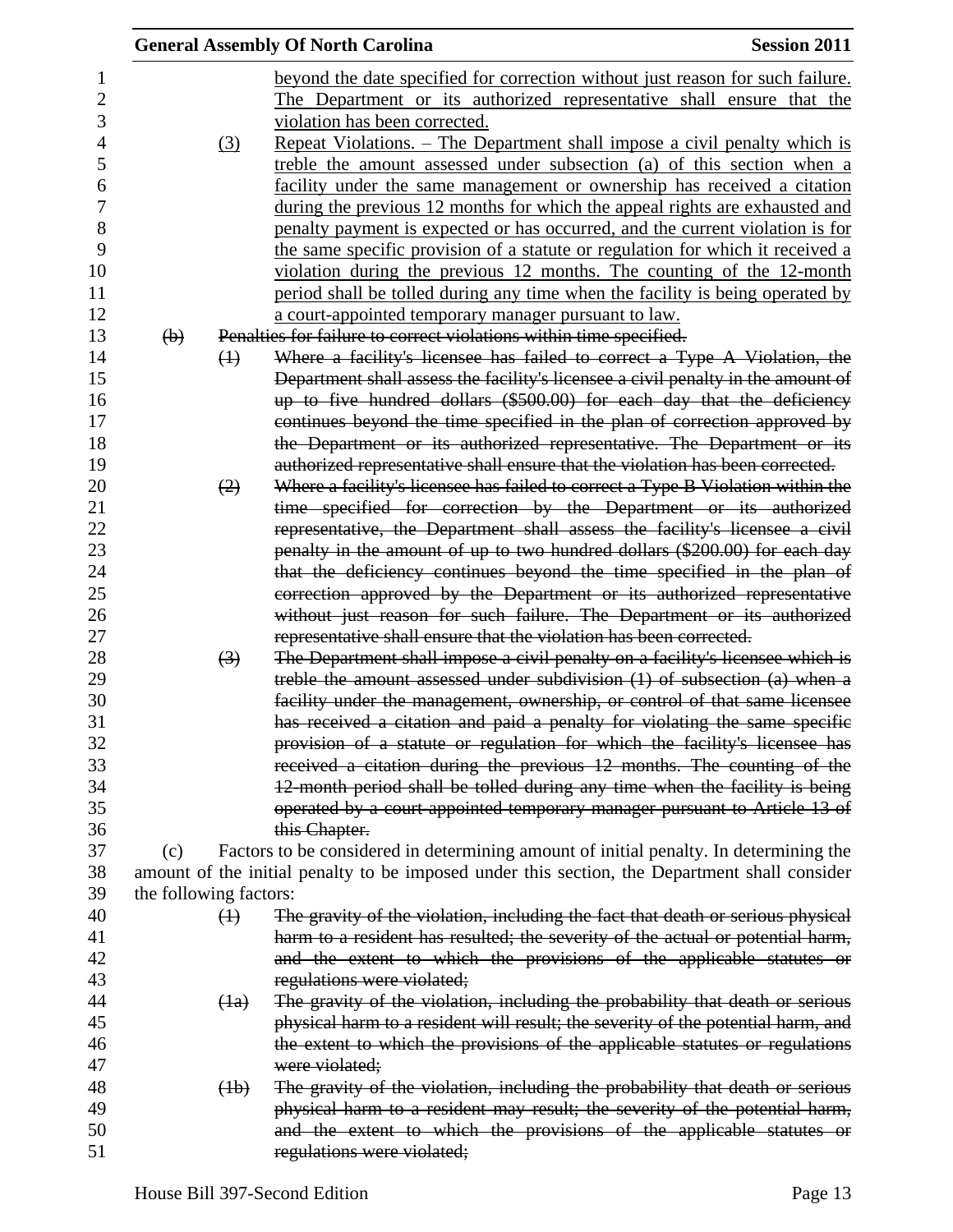|                           |                   | <b>General Assembly Of North Carolina</b>                                                       | <b>Session 2011</b> |
|---------------------------|-------------------|-------------------------------------------------------------------------------------------------|---------------------|
|                           |                   | beyond the date specified for correction without just reason for such failure.                  |                     |
|                           |                   | The Department or its authorized representative shall ensure that the                           |                     |
|                           |                   | violation has been corrected.                                                                   |                     |
|                           | (3)               | <u> Repeat Violations. – The Department shall impose a civil penalty which is</u>               |                     |
|                           |                   | treble the amount assessed under subsection (a) of this section when a                          |                     |
|                           |                   | facility under the same management or ownership has received a citation                         |                     |
|                           |                   |                                                                                                 |                     |
|                           |                   | during the previous 12 months for which the appeal rights are exhausted and                     |                     |
|                           |                   | penalty payment is expected or has occurred, and the current violation is for                   |                     |
|                           |                   | the same specific provision of a statute or regulation for which it received a                  |                     |
|                           |                   | violation during the previous 12 months. The counting of the 12-month                           |                     |
|                           |                   | period shall be tolled during any time when the facility is being operated by                   |                     |
|                           |                   | a court-appointed temporary manager pursuant to law.                                            |                     |
| $\left(\mathbf{b}\right)$ |                   | Penalties for failure to correct violations within time specified.                              |                     |
|                           | $\leftrightarrow$ | Where a facility's licensee has failed to correct a Type A Violation, the                       |                     |
|                           |                   | Department shall assess the facility's licensee a civil penalty in the amount of                |                     |
|                           |                   | up to five hundred dollars (\$500.00) for each day that the deficiency                          |                     |
|                           |                   | continues beyond the time specified in the plan of correction approved by                       |                     |
|                           |                   | the Department or its authorized representative. The Department or its                          |                     |
|                           |                   | authorized representative shall ensure that the violation has been corrected.                   |                     |
|                           | (2)               | Where a facility's licensee has failed to correct a Type B Violation within the                 |                     |
|                           |                   | time specified for correction by the Department or its authorized                               |                     |
|                           |                   | representative, the Department shall assess the facility's licensee a civil                     |                     |
|                           |                   | penalty in the amount of up to two hundred dollars (\$200.00) for each day                      |                     |
|                           |                   | that the deficiency continues beyond the time specified in the plan of                          |                     |
|                           |                   | correction approved by the Department or its authorized representative                          |                     |
|                           |                   | without just reason for such failure. The Department or its authorized                          |                     |
|                           |                   | representative shall ensure that the violation has been corrected.                              |                     |
|                           | $\left(3\right)$  | The Department shall impose a civil penalty on a facility's licensee which is                   |                     |
|                           |                   | treble the amount assessed under subdivision $(1)$ of subsection $(a)$ when a                   |                     |
|                           |                   | facility under the management, ownership, or control of that same licensee                      |                     |
|                           |                   | has received a citation and paid a penalty for violating the same specific                      |                     |
|                           |                   | provision of a statute or regulation for which the facility's licensee has                      |                     |
|                           |                   | received a citation during the previous 12 months. The counting of the                          |                     |
|                           |                   | 12-month period shall be tolled during any time when the facility is being                      |                     |
|                           |                   | operated by a court-appointed temporary manager pursuant to Article 13 of                       |                     |
|                           |                   | this Chapter.                                                                                   |                     |
| (c)                       |                   | Factors to be considered in determining amount of initial penalty. In determining the           |                     |
|                           |                   | amount of the initial penalty to be imposed under this section, the Department shall consider   |                     |
| the following factors:    |                   |                                                                                                 |                     |
|                           | $\leftrightarrow$ | The gravity of the violation, including the fact that death or serious physical                 |                     |
|                           |                   | harm to a resident has resulted; the severity of the actual or potential harm,                  |                     |
|                           |                   | and the extent to which the provisions of the applicable statutes or                            |                     |
|                           |                   | regulations were violated;                                                                      |                     |
|                           | (4a)              | The gravity of the violation, including the probability that death or serious                   |                     |
|                           |                   | physical harm to a resident will result; the severity of the potential harm, and                |                     |
|                           |                   |                                                                                                 |                     |
|                           |                   | the extent to which the provisions of the applicable statutes or regulations                    |                     |
|                           | (4b)              | were violated;<br>The gravity of the violation, including the probability that death or serious |                     |
|                           |                   |                                                                                                 |                     |
|                           |                   | physical harm to a resident may result; the severity of the potential harm,                     |                     |
|                           |                   | and the extent to which the provisions of the applicable statutes or                            |                     |
|                           |                   | regulations were violated;                                                                      |                     |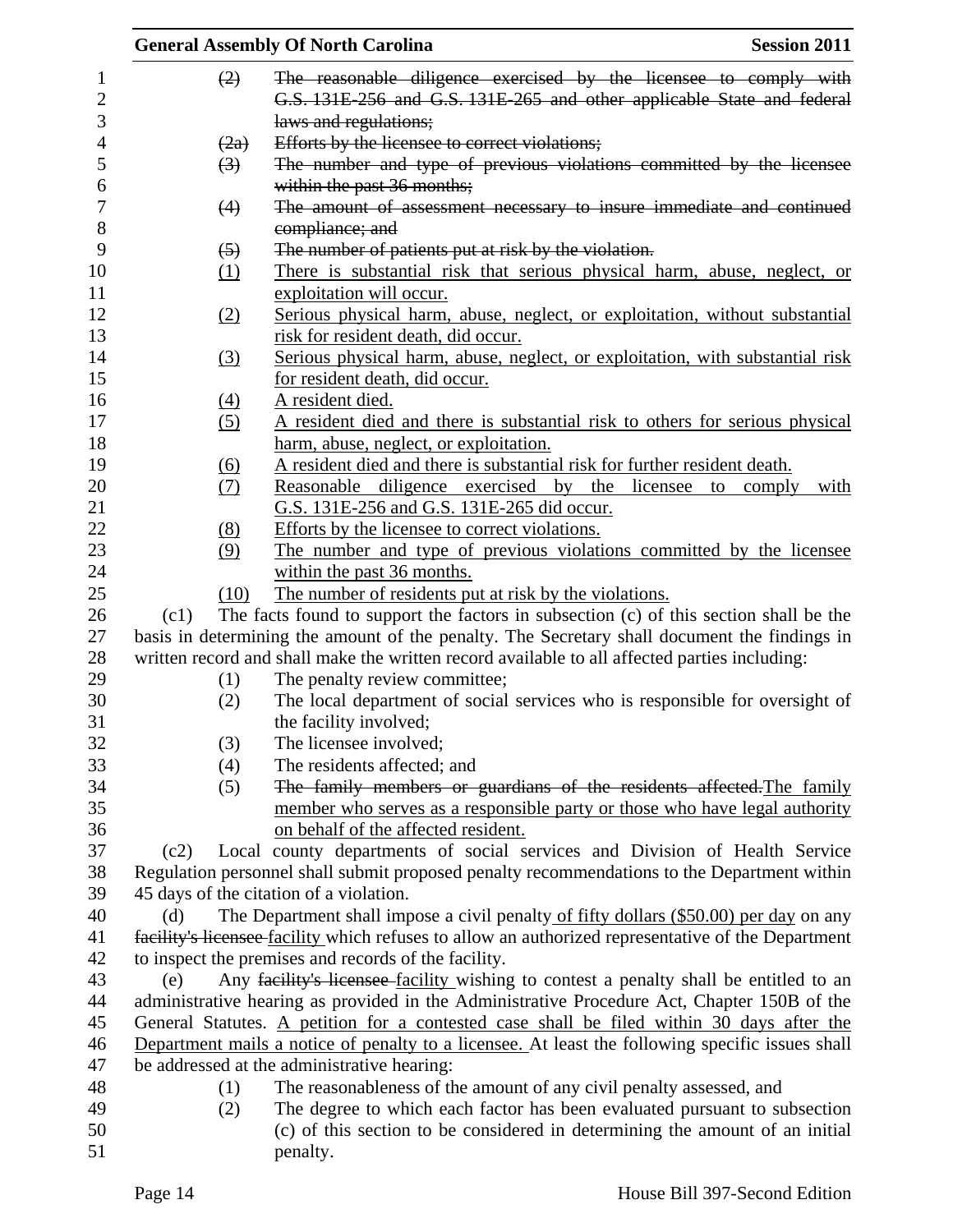|                  | <b>General Assembly Of North Carolina</b><br><b>Session 2011</b> |                                                                                                    |  |  |  |
|------------------|------------------------------------------------------------------|----------------------------------------------------------------------------------------------------|--|--|--|
| $\mathbf{1}$     | (2)                                                              | The reasonable diligence exercised by the licensee to comply with                                  |  |  |  |
| $\mathbf{2}$     |                                                                  | G.S. 131E-256 and G.S. 131E-265 and other applicable State and federal                             |  |  |  |
| 3                |                                                                  | laws and regulations;                                                                              |  |  |  |
| $\overline{4}$   | (2a)                                                             | Efforts by the licensee to correct violations;                                                     |  |  |  |
| 5                | $\left(3\right)$                                                 | The number and type of previous violations committed by the licensee                               |  |  |  |
| 6                |                                                                  | within the past 36 months;                                                                         |  |  |  |
| $\boldsymbol{7}$ | (4)                                                              | The amount of assessment necessary to insure immediate and continued                               |  |  |  |
| 8                |                                                                  | compliance; and                                                                                    |  |  |  |
| 9                | $\left(5\right)$                                                 | The number of patients put at risk by the violation.                                               |  |  |  |
| 10               | (1)                                                              | There is substantial risk that serious physical harm, abuse, neglect, or                           |  |  |  |
| 11               |                                                                  | exploitation will occur.                                                                           |  |  |  |
| 12               | (2)                                                              | Serious physical harm, abuse, neglect, or exploitation, without substantial                        |  |  |  |
| 13               |                                                                  | risk for resident death, did occur.                                                                |  |  |  |
| 14               | (3)                                                              | Serious physical harm, abuse, neglect, or exploitation, with substantial risk                      |  |  |  |
|                  |                                                                  | for resident death, did occur.                                                                     |  |  |  |
|                  | (4)                                                              | A resident died.                                                                                   |  |  |  |
|                  | (5)                                                              | A resident died and there is substantial risk to others for serious physical                       |  |  |  |
|                  |                                                                  | harm, abuse, neglect, or exploitation.                                                             |  |  |  |
|                  | (6)                                                              | A resident died and there is substantial risk for further resident death.                          |  |  |  |
|                  | (7)                                                              | Reasonable diligence exercised by the licensee to comply with                                      |  |  |  |
|                  |                                                                  | G.S. 131E-256 and G.S. 131E-265 did occur.                                                         |  |  |  |
|                  | (8)                                                              | Efforts by the licensee to correct violations.                                                     |  |  |  |
|                  | (9)                                                              | The number and type of previous violations committed by the licensee                               |  |  |  |
|                  |                                                                  | within the past 36 months.                                                                         |  |  |  |
|                  | (10)                                                             | The number of residents put at risk by the violations.                                             |  |  |  |
|                  | (c1)                                                             | The facts found to support the factors in subsection (c) of this section shall be the              |  |  |  |
|                  |                                                                  | basis in determining the amount of the penalty. The Secretary shall document the findings in       |  |  |  |
|                  |                                                                  | written record and shall make the written record available to all affected parties including:      |  |  |  |
|                  | (1)                                                              | The penalty review committee;                                                                      |  |  |  |
|                  | (2)                                                              | The local department of social services who is responsible for oversight of                        |  |  |  |
|                  |                                                                  | the facility involved;                                                                             |  |  |  |
|                  | (3)                                                              | The licensee involved;                                                                             |  |  |  |
|                  | (4)                                                              | The residents affected; and                                                                        |  |  |  |
|                  | (5)                                                              | The family members or guardians of the residents affected. The family                              |  |  |  |
|                  |                                                                  | member who serves as a responsible party or those who have legal authority                         |  |  |  |
|                  |                                                                  | on behalf of the affected resident.                                                                |  |  |  |
|                  | (c2)                                                             | Local county departments of social services and Division of Health Service                         |  |  |  |
|                  |                                                                  | Regulation personnel shall submit proposed penalty recommendations to the Department within        |  |  |  |
|                  |                                                                  | 45 days of the citation of a violation.                                                            |  |  |  |
|                  | (d)                                                              | The Department shall impose a civil penalty of fifty dollars (\$50.00) per day on any              |  |  |  |
|                  |                                                                  | facility's licensee facility which refuses to allow an authorized representative of the Department |  |  |  |
|                  |                                                                  | to inspect the premises and records of the facility.                                               |  |  |  |
|                  | (e)                                                              | Any facility's licensee facility wishing to contest a penalty shall be entitled to an              |  |  |  |
|                  |                                                                  | administrative hearing as provided in the Administrative Procedure Act, Chapter 150B of the        |  |  |  |
|                  |                                                                  | General Statutes. A petition for a contested case shall be filed within 30 days after the          |  |  |  |
|                  |                                                                  | Department mails a notice of penalty to a licensee. At least the following specific issues shall   |  |  |  |
|                  |                                                                  | be addressed at the administrative hearing:                                                        |  |  |  |
|                  | (1)                                                              | The reasonableness of the amount of any civil penalty assessed, and                                |  |  |  |
|                  | (2)                                                              | The degree to which each factor has been evaluated pursuant to subsection                          |  |  |  |
|                  |                                                                  | (c) of this section to be considered in determining the amount of an initial                       |  |  |  |
|                  |                                                                  | penalty.                                                                                           |  |  |  |